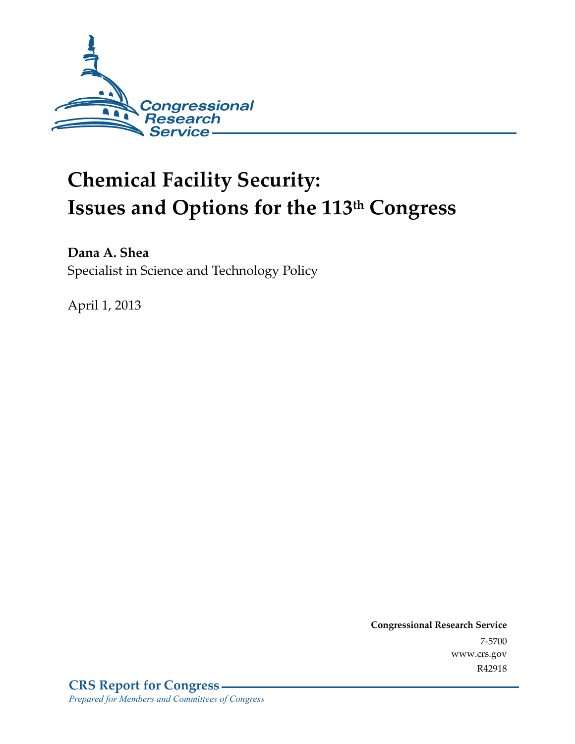

# **Chemical Facility Security: Issues and Options for the 113th Congress**

**Dana A. Shea**  Specialist in Science and Technology Policy

April 1, 2013

**Congressional Research Service**  7-5700 www.crs.gov R42918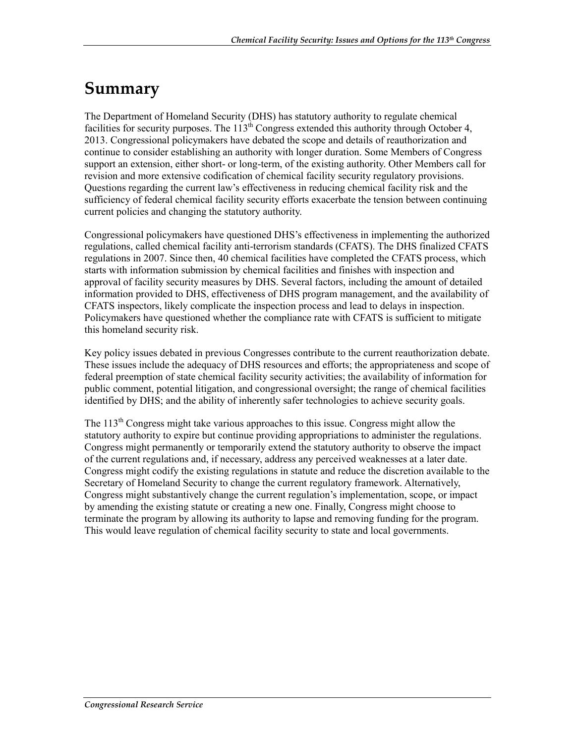## **Summary**

The Department of Homeland Security (DHS) has statutory authority to regulate chemical facilities for security purposes. The  $113<sup>th</sup>$  Congress extended this authority through October 4, 2013. Congressional policymakers have debated the scope and details of reauthorization and continue to consider establishing an authority with longer duration. Some Members of Congress support an extension, either short- or long-term, of the existing authority. Other Members call for revision and more extensive codification of chemical facility security regulatory provisions. Questions regarding the current law's effectiveness in reducing chemical facility risk and the sufficiency of federal chemical facility security efforts exacerbate the tension between continuing current policies and changing the statutory authority.

Congressional policymakers have questioned DHS's effectiveness in implementing the authorized regulations, called chemical facility anti-terrorism standards (CFATS). The DHS finalized CFATS regulations in 2007. Since then, 40 chemical facilities have completed the CFATS process, which starts with information submission by chemical facilities and finishes with inspection and approval of facility security measures by DHS. Several factors, including the amount of detailed information provided to DHS, effectiveness of DHS program management, and the availability of CFATS inspectors, likely complicate the inspection process and lead to delays in inspection. Policymakers have questioned whether the compliance rate with CFATS is sufficient to mitigate this homeland security risk.

Key policy issues debated in previous Congresses contribute to the current reauthorization debate. These issues include the adequacy of DHS resources and efforts; the appropriateness and scope of federal preemption of state chemical facility security activities; the availability of information for public comment, potential litigation, and congressional oversight; the range of chemical facilities identified by DHS; and the ability of inherently safer technologies to achieve security goals.

The  $113<sup>th</sup>$  Congress might take various approaches to this issue. Congress might allow the statutory authority to expire but continue providing appropriations to administer the regulations. Congress might permanently or temporarily extend the statutory authority to observe the impact of the current regulations and, if necessary, address any perceived weaknesses at a later date. Congress might codify the existing regulations in statute and reduce the discretion available to the Secretary of Homeland Security to change the current regulatory framework. Alternatively, Congress might substantively change the current regulation's implementation, scope, or impact by amending the existing statute or creating a new one. Finally, Congress might choose to terminate the program by allowing its authority to lapse and removing funding for the program. This would leave regulation of chemical facility security to state and local governments.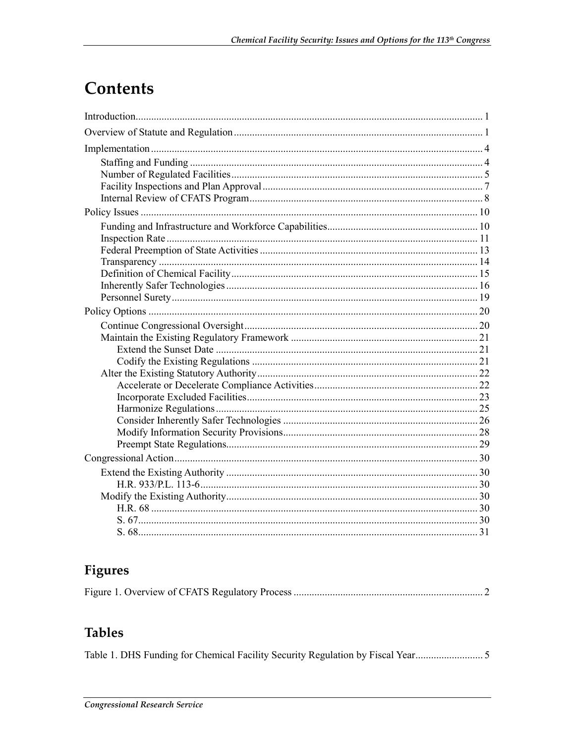# **Contents**

## Figures

|--|--|--|

## **Tables**

Table 1. DHS Funding for Chemical Facility Security Regulation by Fiscal Year.................................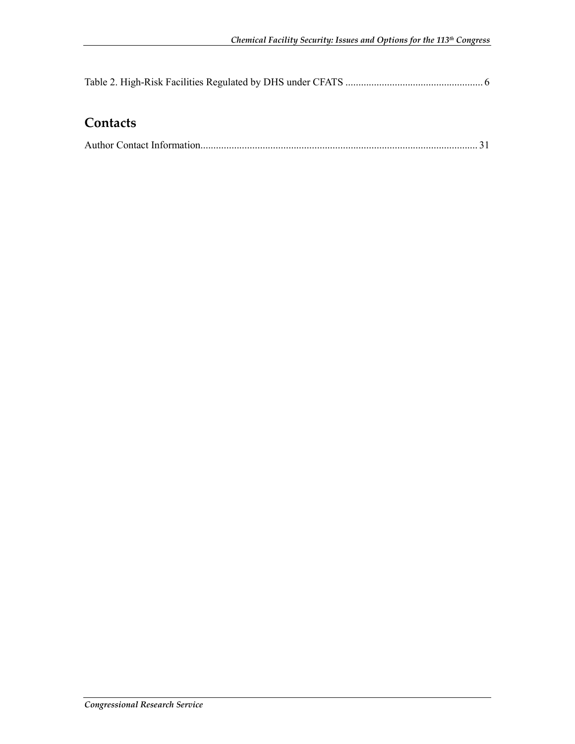## **Contacts**

|--|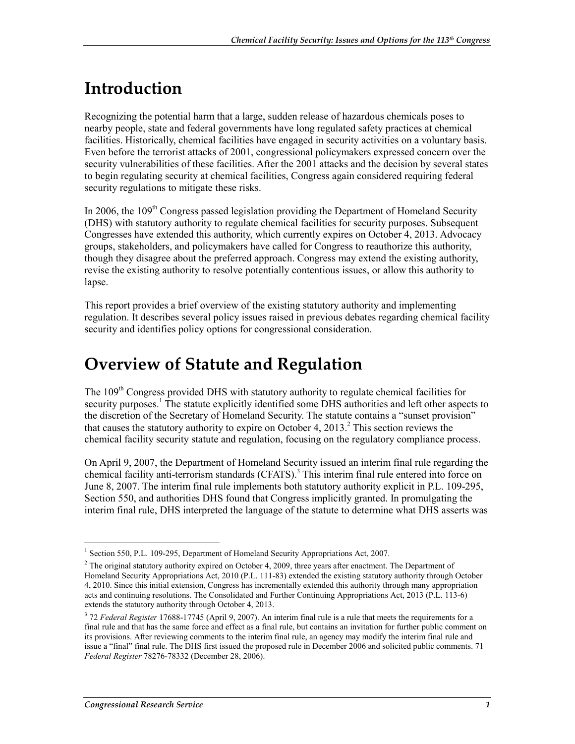# **Introduction**

Recognizing the potential harm that a large, sudden release of hazardous chemicals poses to nearby people, state and federal governments have long regulated safety practices at chemical facilities. Historically, chemical facilities have engaged in security activities on a voluntary basis. Even before the terrorist attacks of 2001, congressional policymakers expressed concern over the security vulnerabilities of these facilities. After the 2001 attacks and the decision by several states to begin regulating security at chemical facilities, Congress again considered requiring federal security regulations to mitigate these risks.

In 2006, the  $109<sup>th</sup>$  Congress passed legislation providing the Department of Homeland Security (DHS) with statutory authority to regulate chemical facilities for security purposes. Subsequent Congresses have extended this authority, which currently expires on October 4, 2013. Advocacy groups, stakeholders, and policymakers have called for Congress to reauthorize this authority, though they disagree about the preferred approach. Congress may extend the existing authority, revise the existing authority to resolve potentially contentious issues, or allow this authority to lapse.

This report provides a brief overview of the existing statutory authority and implementing regulation. It describes several policy issues raised in previous debates regarding chemical facility security and identifies policy options for congressional consideration.

## **Overview of Statute and Regulation**

The 109<sup>th</sup> Congress provided DHS with statutory authority to regulate chemical facilities for security purposes.<sup>1</sup> The statute explicitly identified some DHS authorities and left other aspects to the discretion of the Secretary of Homeland Security. The statute contains a "sunset provision" that causes the statutory authority to expire on October 4, 2013.<sup>2</sup> This section reviews the chemical facility security statute and regulation, focusing on the regulatory compliance process.

On April 9, 2007, the Department of Homeland Security issued an interim final rule regarding the chemical facility anti-terrorism standards (CFATS).<sup>3</sup> This interim final rule entered into force on June 8, 2007. The interim final rule implements both statutory authority explicit in P.L. 109-295, Section 550, and authorities DHS found that Congress implicitly granted. In promulgating the interim final rule, DHS interpreted the language of the statute to determine what DHS asserts was

<sup>&</sup>lt;sup>1</sup> Section 550, P.L. 109-295, Department of Homeland Security Appropriations Act, 2007.

 $2$  The original statutory authority expired on October 4, 2009, three years after enactment. The Department of Homeland Security Appropriations Act, 2010 (P.L. 111-83) extended the existing statutory authority through October 4, 2010. Since this initial extension, Congress has incrementally extended this authority through many appropriation acts and continuing resolutions. The Consolidated and Further Continuing Appropriations Act, 2013 (P.L. 113-6) extends the statutory authority through October 4, 2013.

<sup>&</sup>lt;sup>3</sup> 72 *Federal Register* 17688-17745 (April 9, 2007). An interim final rule is a rule that meets the requirements for a final rule and that has the same force and effect as a final rule, but contains an invitation for further public comment on its provisions. After reviewing comments to the interim final rule, an agency may modify the interim final rule and issue a "final" final rule. The DHS first issued the proposed rule in December 2006 and solicited public comments. 71 *Federal Register* 78276-78332 (December 28, 2006).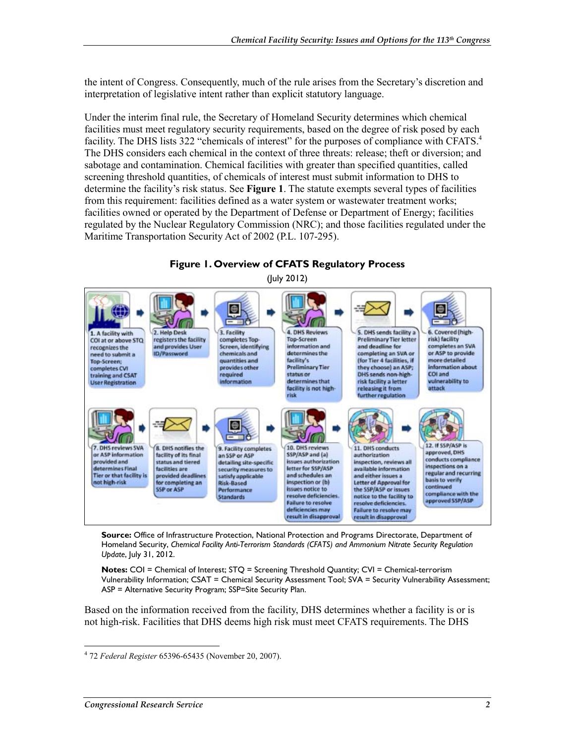the intent of Congress. Consequently, much of the rule arises from the Secretary's discretion and interpretation of legislative intent rather than explicit statutory language.

Under the interim final rule, the Secretary of Homeland Security determines which chemical facilities must meet regulatory security requirements, based on the degree of risk posed by each facility. The DHS lists 322 "chemicals of interest" for the purposes of compliance with CFATS.<sup>4</sup> The DHS considers each chemical in the context of three threats: release; theft or diversion; and sabotage and contamination. Chemical facilities with greater than specified quantities, called screening threshold quantities, of chemicals of interest must submit information to DHS to determine the facility's risk status. See **Figure 1**. The statute exempts several types of facilities from this requirement: facilities defined as a water system or wastewater treatment works; facilities owned or operated by the Department of Defense or Department of Energy; facilities regulated by the Nuclear Regulatory Commission (NRC); and those facilities regulated under the Maritime Transportation Security Act of 2002 (P.L. 107-295).

**Figure 1. Overview of CFATS Regulatory Process** 



**Source:** Office of Infrastructure Protection, National Protection and Programs Directorate, Department of Homeland Security, *Chemical Facility Anti-Terrorism Standards (CFATS) and Ammonium Nitrate Security Regulation Update*, July 31, 2012.

**Notes:** COI = Chemical of Interest; STQ = Screening Threshold Quantity; CVI = Chemical-terrorism Vulnerability Information; CSAT = Chemical Security Assessment Tool; SVA = Security Vulnerability Assessment; ASP = Alternative Security Program; SSP=Site Security Plan.

Based on the information received from the facility, DHS determines whether a facility is or is not high-risk. Facilities that DHS deems high risk must meet CFATS requirements. The DHS

<sup>4</sup> 72 *Federal Register* 65396-65435 (November 20, 2007).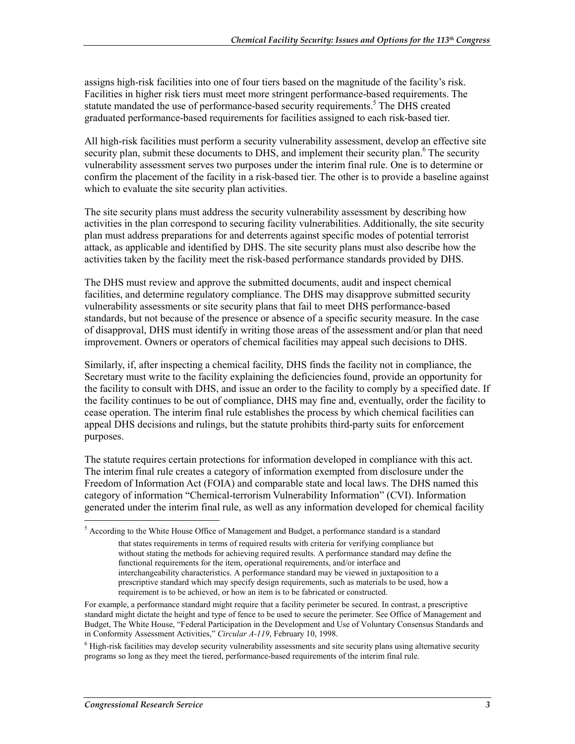assigns high-risk facilities into one of four tiers based on the magnitude of the facility's risk. Facilities in higher risk tiers must meet more stringent performance-based requirements. The statute mandated the use of performance-based security requirements.<sup>5</sup> The DHS created graduated performance-based requirements for facilities assigned to each risk-based tier.

All high-risk facilities must perform a security vulnerability assessment, develop an effective site security plan, submit these documents to DHS, and implement their security plan.<sup>6</sup> The security vulnerability assessment serves two purposes under the interim final rule. One is to determine or confirm the placement of the facility in a risk-based tier. The other is to provide a baseline against which to evaluate the site security plan activities.

The site security plans must address the security vulnerability assessment by describing how activities in the plan correspond to securing facility vulnerabilities. Additionally, the site security plan must address preparations for and deterrents against specific modes of potential terrorist attack, as applicable and identified by DHS. The site security plans must also describe how the activities taken by the facility meet the risk-based performance standards provided by DHS.

The DHS must review and approve the submitted documents, audit and inspect chemical facilities, and determine regulatory compliance. The DHS may disapprove submitted security vulnerability assessments or site security plans that fail to meet DHS performance-based standards, but not because of the presence or absence of a specific security measure. In the case of disapproval, DHS must identify in writing those areas of the assessment and/or plan that need improvement. Owners or operators of chemical facilities may appeal such decisions to DHS.

Similarly, if, after inspecting a chemical facility, DHS finds the facility not in compliance, the Secretary must write to the facility explaining the deficiencies found, provide an opportunity for the facility to consult with DHS, and issue an order to the facility to comply by a specified date. If the facility continues to be out of compliance, DHS may fine and, eventually, order the facility to cease operation. The interim final rule establishes the process by which chemical facilities can appeal DHS decisions and rulings, but the statute prohibits third-party suits for enforcement purposes.

The statute requires certain protections for information developed in compliance with this act. The interim final rule creates a category of information exempted from disclosure under the Freedom of Information Act (FOIA) and comparable state and local laws. The DHS named this category of information "Chemical-terrorism Vulnerability Information" (CVI). Information generated under the interim final rule, as well as any information developed for chemical facility

<sup>&</sup>lt;sup>5</sup> According to the White House Office of Management and Budget, a performance standard is a standard

that states requirements in terms of required results with criteria for verifying compliance but without stating the methods for achieving required results. A performance standard may define the functional requirements for the item, operational requirements, and/or interface and interchangeability characteristics. A performance standard may be viewed in juxtaposition to a prescriptive standard which may specify design requirements, such as materials to be used, how a requirement is to be achieved, or how an item is to be fabricated or constructed.

For example, a performance standard might require that a facility perimeter be secured. In contrast, a prescriptive standard might dictate the height and type of fence to be used to secure the perimeter. See Office of Management and Budget, The White House, "Federal Participation in the Development and Use of Voluntary Consensus Standards and in Conformity Assessment Activities," *Circular A-119*, February 10, 1998.

<sup>&</sup>lt;sup>6</sup> High-risk facilities may develop security vulnerability assessments and site security plans using alternative security programs so long as they meet the tiered, performance-based requirements of the interim final rule.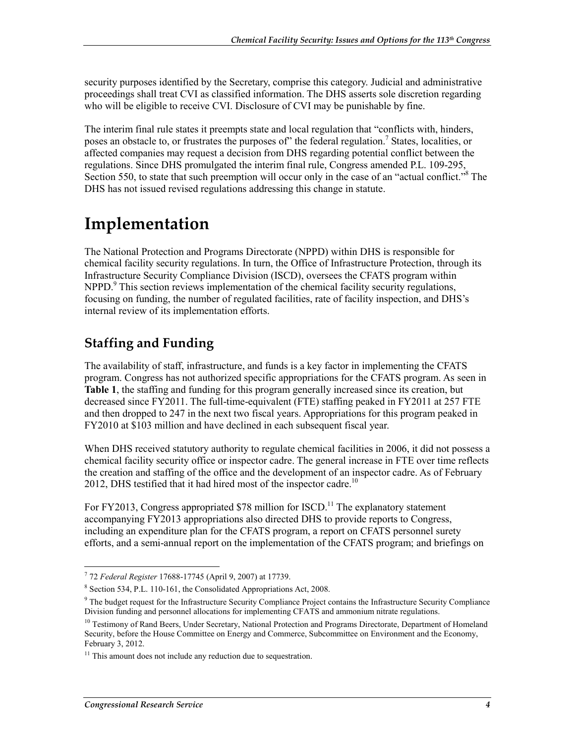security purposes identified by the Secretary, comprise this category. Judicial and administrative proceedings shall treat CVI as classified information. The DHS asserts sole discretion regarding who will be eligible to receive CVI. Disclosure of CVI may be punishable by fine.

The interim final rule states it preempts state and local regulation that "conflicts with, hinders, poses an obstacle to, or frustrates the purposes of" the federal regulation.<sup>7</sup> States, localities, or affected companies may request a decision from DHS regarding potential conflict between the regulations. Since DHS promulgated the interim final rule, Congress amended P.L. 109-295, Section 550, to state that such preemption will occur only in the case of an "actual conflict."<sup>8</sup> The DHS has not issued revised regulations addressing this change in statute.

## **Implementation**

The National Protection and Programs Directorate (NPPD) within DHS is responsible for chemical facility security regulations. In turn, the Office of Infrastructure Protection, through its Infrastructure Security Compliance Division (ISCD), oversees the CFATS program within NPPD.<sup>9</sup> This section reviews implementation of the chemical facility security regulations, focusing on funding, the number of regulated facilities, rate of facility inspection, and DHS's internal review of its implementation efforts.

## **Staffing and Funding**

The availability of staff, infrastructure, and funds is a key factor in implementing the CFATS program. Congress has not authorized specific appropriations for the CFATS program. As seen in **Table 1**, the staffing and funding for this program generally increased since its creation, but decreased since FY2011. The full-time-equivalent (FTE) staffing peaked in FY2011 at 257 FTE and then dropped to 247 in the next two fiscal years. Appropriations for this program peaked in FY2010 at \$103 million and have declined in each subsequent fiscal year.

When DHS received statutory authority to regulate chemical facilities in 2006, it did not possess a chemical facility security office or inspector cadre. The general increase in FTE over time reflects the creation and staffing of the office and the development of an inspector cadre. As of February 2012, DHS testified that it had hired most of the inspector cadre.<sup>10</sup>

For FY2013, Congress appropriated  $$78$  million for ISCD.<sup>11</sup> The explanatory statement accompanying FY2013 appropriations also directed DHS to provide reports to Congress, including an expenditure plan for the CFATS program, a report on CFATS personnel surety efforts, and a semi-annual report on the implementation of the CFATS program; and briefings on

 7 72 *Federal Register* 17688-17745 (April 9, 2007) at 17739.

<sup>8</sup> Section 534, P.L. 110-161, the Consolidated Appropriations Act, 2008.

<sup>&</sup>lt;sup>9</sup> The budget request for the Infrastructure Security Compliance Project contains the Infrastructure Security Compliance Division funding and personnel allocations for implementing CFATS and ammonium nitrate regulations.

<sup>&</sup>lt;sup>10</sup> Testimony of Rand Beers, Under Secretary, National Protection and Programs Directorate, Department of Homeland Security, before the House Committee on Energy and Commerce, Subcommittee on Environment and the Economy, February 3, 2012.

 $11$  This amount does not include any reduction due to sequestration.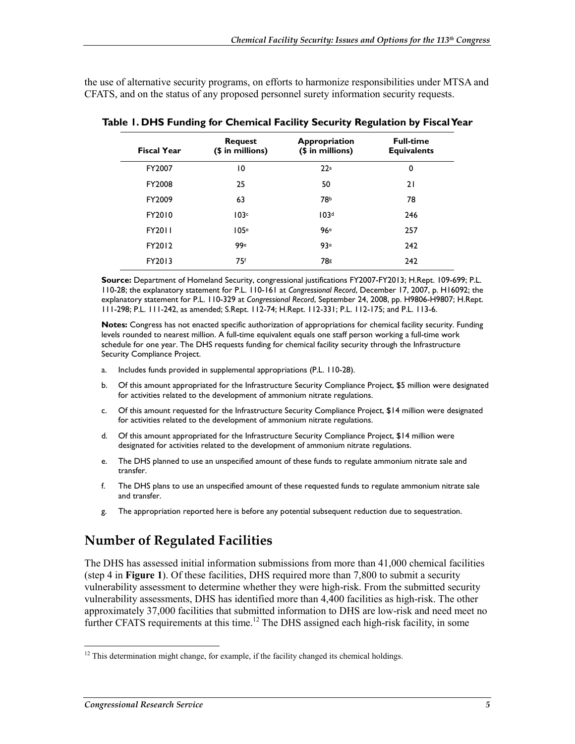the use of alternative security programs, on efforts to harmonize responsibilities under MTSA and CFATS, and on the status of any proposed personnel surety information security requests.

| <b>Fiscal Year</b> | <b>Request</b><br>(\$ in millions) | Appropriation<br>(\$ in millions) | <b>Full-time</b><br><b>Equivalents</b> |
|--------------------|------------------------------------|-----------------------------------|----------------------------------------|
| FY2007             | 10                                 | 22a                               | 0                                      |
| FY2008             | 25                                 | 50                                | 21                                     |
| FY2009             | 63                                 | 78b                               | 78                                     |
| FY2010             | 103c                               | 103 <sup>d</sup>                  | 246                                    |
| FY2011             | 105e                               | 96e                               | 257                                    |
| FY2012             | 99e                                | 93e                               | 242                                    |
| FY2013             | 75f                                | <b>78g</b>                        | 242                                    |

**Table 1. DHS Funding for Chemical Facility Security Regulation by Fiscal Year** 

**Source:** Department of Homeland Security, congressional justifications FY2007-FY2013; H.Rept. 109-699; P.L. 110-28; the explanatory statement for P.L. 110-161 at *Congressional Record*, December 17, 2007, p. H16092; the explanatory statement for P.L. 110-329 at *Congressional Record*, September 24, 2008, pp. H9806-H9807; H.Rept. 111-298; P.L. 111-242, as amended; S.Rept. 112-74; H.Rept. 112-331; P.L. 112-175; and P.L. 113-6.

**Notes:** Congress has not enacted specific authorization of appropriations for chemical facility security. Funding levels rounded to nearest million. A full-time equivalent equals one staff person working a full-time work schedule for one year. The DHS requests funding for chemical facility security through the Infrastructure Security Compliance Project.

- a. Includes funds provided in supplemental appropriations (P.L. 110-28).
- b. Of this amount appropriated for the Infrastructure Security Compliance Project, \$5 million were designated for activities related to the development of ammonium nitrate regulations.
- c. Of this amount requested for the Infrastructure Security Compliance Project, \$14 million were designated for activities related to the development of ammonium nitrate regulations.
- d. Of this amount appropriated for the Infrastructure Security Compliance Project, \$14 million were designated for activities related to the development of ammonium nitrate regulations.
- e. The DHS planned to use an unspecified amount of these funds to regulate ammonium nitrate sale and transfer.
- f. The DHS plans to use an unspecified amount of these requested funds to regulate ammonium nitrate sale and transfer.
- g. The appropriation reported here is before any potential subsequent reduction due to sequestration.

## **Number of Regulated Facilities**

The DHS has assessed initial information submissions from more than 41,000 chemical facilities (step 4 in **Figure 1**). Of these facilities, DHS required more than 7,800 to submit a security vulnerability assessment to determine whether they were high-risk. From the submitted security vulnerability assessments, DHS has identified more than 4,400 facilities as high-risk. The other approximately 37,000 facilities that submitted information to DHS are low-risk and need meet no further CFATS requirements at this time.<sup>12</sup> The DHS assigned each high-risk facility, in some

<sup>&</sup>lt;u>.</u>  $12$  This determination might change, for example, if the facility changed its chemical holdings.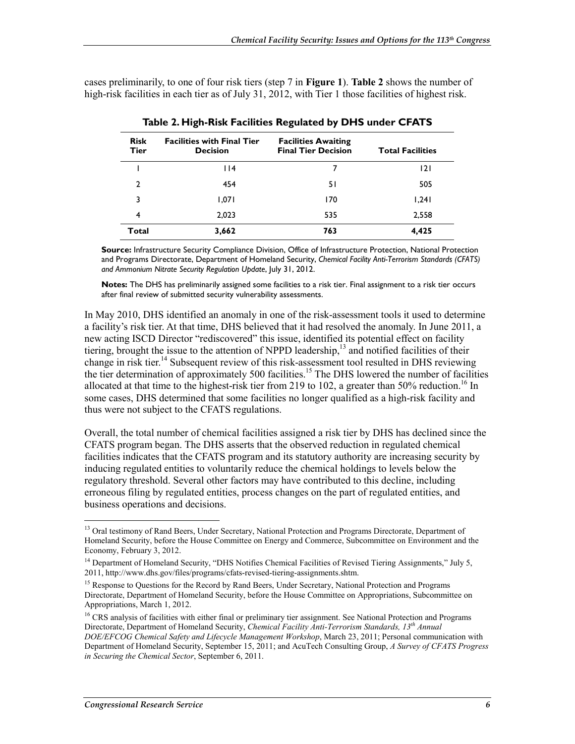cases preliminarily, to one of four risk tiers (step 7 in **Figure 1**). **Table 2** shows the number of high-risk facilities in each tier as of July 31, 2012, with Tier 1 those facilities of highest risk.

| <b>Risk</b><br>Tier | <b>Facilities with Final Tier</b><br><b>Decision</b> | <b>Facilities Awaiting</b><br><b>Final Tier Decision</b> | <b>Total Facilities</b> |
|---------------------|------------------------------------------------------|----------------------------------------------------------|-------------------------|
|                     | 114                                                  | 7                                                        | 2                       |
| 2                   | 454                                                  | 51                                                       | 505                     |
| 3                   | 1,071                                                | 170                                                      | 1,241                   |
| 4                   | 2,023                                                | 535                                                      | 2,558                   |
| Total               | 3,662                                                | 763                                                      | 4,425                   |

| Table 2. High-Risk Facilities Regulated by DHS under CFATS |  |
|------------------------------------------------------------|--|
|------------------------------------------------------------|--|

**Source:** Infrastructure Security Compliance Division, Office of Infrastructure Protection, National Protection and Programs Directorate, Department of Homeland Security, *Chemical Facility Anti-Terrorism Standards (CFATS) and Ammonium Nitrate Security Regulation Update*, July 31, 2012.

**Notes:** The DHS has preliminarily assigned some facilities to a risk tier. Final assignment to a risk tier occurs after final review of submitted security vulnerability assessments.

In May 2010, DHS identified an anomaly in one of the risk-assessment tools it used to determine a facility's risk tier. At that time, DHS believed that it had resolved the anomaly. In June 2011, a new acting ISCD Director "rediscovered" this issue, identified its potential effect on facility tiering, brought the issue to the attention of NPPD leadership,<sup>13</sup> and notified facilities of their change in risk tier.<sup>14</sup> Subsequent review of this risk-assessment tool resulted in DHS reviewing the tier determination of approximately 500 facilities.<sup>15</sup> The DHS lowered the number of facilities allocated at that time to the highest-risk tier from 219 to 102, a greater than 50% reduction.<sup>16</sup> In some cases, DHS determined that some facilities no longer qualified as a high-risk facility and thus were not subject to the CFATS regulations.

Overall, the total number of chemical facilities assigned a risk tier by DHS has declined since the CFATS program began. The DHS asserts that the observed reduction in regulated chemical facilities indicates that the CFATS program and its statutory authority are increasing security by inducing regulated entities to voluntarily reduce the chemical holdings to levels below the regulatory threshold. Several other factors may have contributed to this decline, including erroneous filing by regulated entities, process changes on the part of regulated entities, and business operations and decisions.

<sup>&</sup>lt;sup>13</sup> Oral testimony of Rand Beers, Under Secretary, National Protection and Programs Directorate, Department of Homeland Security, before the House Committee on Energy and Commerce, Subcommittee on Environment and the Economy, February 3, 2012.

<sup>&</sup>lt;sup>14</sup> Department of Homeland Security, "DHS Notifies Chemical Facilities of Revised Tiering Assignments," July 5, 2011, http://www.dhs.gov/files/programs/cfats-revised-tiering-assignments.shtm.

<sup>&</sup>lt;sup>15</sup> Response to Questions for the Record by Rand Beers, Under Secretary, National Protection and Programs Directorate, Department of Homeland Security, before the House Committee on Appropriations, Subcommittee on Appropriations, March 1, 2012.

<sup>&</sup>lt;sup>16</sup> CRS analysis of facilities with either final or preliminary tier assignment. See National Protection and Programs Directorate, Department of Homeland Security, *Chemical Facility Anti-Terrorism Standards, 13th Annual DOE/EFCOG Chemical Safety and Lifecycle Management Workshop*, March 23, 2011; Personal communication with Department of Homeland Security, September 15, 2011; and AcuTech Consulting Group, *A Survey of CFATS Progress in Securing the Chemical Sector*, September 6, 2011.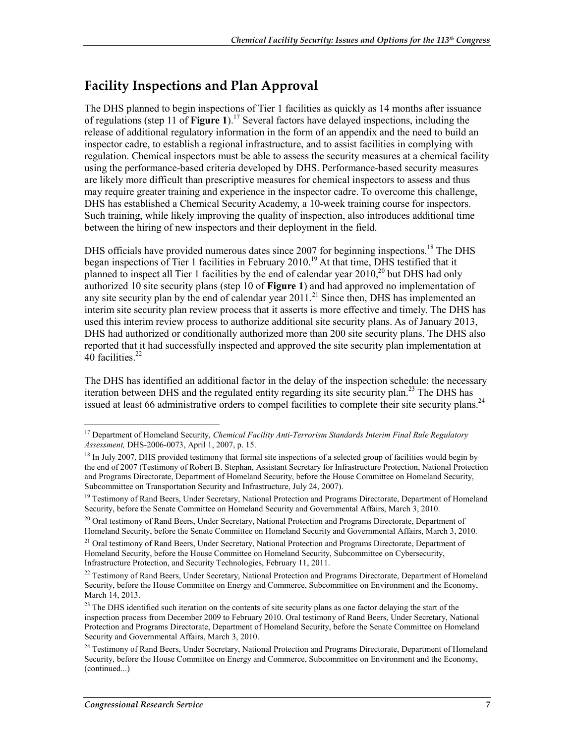### **Facility Inspections and Plan Approval**

The DHS planned to begin inspections of Tier 1 facilities as quickly as 14 months after issuance of regulations (step 11 of **Figure 1**).17 Several factors have delayed inspections, including the release of additional regulatory information in the form of an appendix and the need to build an inspector cadre, to establish a regional infrastructure, and to assist facilities in complying with regulation. Chemical inspectors must be able to assess the security measures at a chemical facility using the performance-based criteria developed by DHS. Performance-based security measures are likely more difficult than prescriptive measures for chemical inspectors to assess and thus may require greater training and experience in the inspector cadre. To overcome this challenge, DHS has established a Chemical Security Academy, a 10-week training course for inspectors. Such training, while likely improving the quality of inspection, also introduces additional time between the hiring of new inspectors and their deployment in the field.

DHS officials have provided numerous dates since 2007 for beginning inspections.<sup>18</sup> The DHS began inspections of Tier 1 facilities in February 2010.<sup>19</sup> At that time, DHS testified that it planned to inspect all Tier 1 facilities by the end of calendar year  $2010$ ,<sup>20</sup> but DHS had only authorized 10 site security plans (step 10 of **Figure 1**) and had approved no implementation of any site security plan by the end of calendar year  $2011$ <sup>21</sup> Since then, DHS has implemented an interim site security plan review process that it asserts is more effective and timely. The DHS has used this interim review process to authorize additional site security plans. As of January 2013, DHS had authorized or conditionally authorized more than 200 site security plans. The DHS also reported that it had successfully inspected and approved the site security plan implementation at 40 facilities.<sup>22</sup>

The DHS has identified an additional factor in the delay of the inspection schedule: the necessary iteration between DHS and the regulated entity regarding its site security plan.<sup>23</sup> The DHS has issued at least 66 administrative orders to compel facilities to complete their site security plans.<sup>24</sup>

<sup>1</sup> <sup>17</sup> Department of Homeland Security, *Chemical Facility Anti-Terrorism Standards Interim Final Rule Regulatory Assessment,* DHS-2006-0073, April 1, 2007, p. 15.

<sup>&</sup>lt;sup>18</sup> In July 2007, DHS provided testimony that formal site inspections of a selected group of facilities would begin by the end of 2007 (Testimony of Robert B. Stephan, Assistant Secretary for Infrastructure Protection, National Protection and Programs Directorate, Department of Homeland Security, before the House Committee on Homeland Security, Subcommittee on Transportation Security and Infrastructure, July 24, 2007).

<sup>&</sup>lt;sup>19</sup> Testimony of Rand Beers, Under Secretary, National Protection and Programs Directorate, Department of Homeland Security, before the Senate Committee on Homeland Security and Governmental Affairs, March 3, 2010.

<sup>&</sup>lt;sup>20</sup> Oral testimony of Rand Beers, Under Secretary, National Protection and Programs Directorate, Department of Homeland Security, before the Senate Committee on Homeland Security and Governmental Affairs, March 3, 2010.

<sup>&</sup>lt;sup>21</sup> Oral testimony of Rand Beers, Under Secretary, National Protection and Programs Directorate, Department of Homeland Security, before the House Committee on Homeland Security, Subcommittee on Cybersecurity, Infrastructure Protection, and Security Technologies, February 11, 2011.

 $^{22}$  Testimony of Rand Beers, Under Secretary, National Protection and Programs Directorate, Department of Homeland Security, before the House Committee on Energy and Commerce, Subcommittee on Environment and the Economy, March 14, 2013.

<sup>&</sup>lt;sup>23</sup> The DHS identified such iteration on the contents of site security plans as one factor delaying the start of the inspection process from December 2009 to February 2010. Oral testimony of Rand Beers, Under Secretary, National Protection and Programs Directorate, Department of Homeland Security, before the Senate Committee on Homeland Security and Governmental Affairs, March 3, 2010.

<sup>&</sup>lt;sup>24</sup> Testimony of Rand Beers, Under Secretary, National Protection and Programs Directorate, Department of Homeland Security, before the House Committee on Energy and Commerce, Subcommittee on Environment and the Economy, (continued...)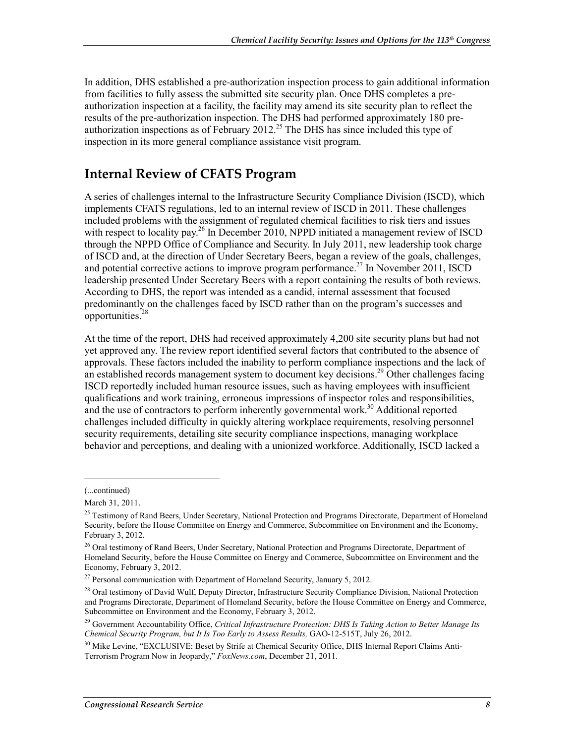In addition, DHS established a pre-authorization inspection process to gain additional information from facilities to fully assess the submitted site security plan. Once DHS completes a preauthorization inspection at a facility, the facility may amend its site security plan to reflect the results of the pre-authorization inspection. The DHS had performed approximately 180 preauthorization inspections as of February  $2012^{25}$  The DHS has since included this type of inspection in its more general compliance assistance visit program.

#### **Internal Review of CFATS Program**

A series of challenges internal to the Infrastructure Security Compliance Division (ISCD), which implements CFATS regulations, led to an internal review of ISCD in 2011. These challenges included problems with the assignment of regulated chemical facilities to risk tiers and issues with respect to locality pay.<sup>26</sup> In December 2010, NPPD initiated a management review of ISCD through the NPPD Office of Compliance and Security. In July 2011, new leadership took charge of ISCD and, at the direction of Under Secretary Beers, began a review of the goals, challenges, and potential corrective actions to improve program performance.<sup>27</sup> In November 2011, ISCD leadership presented Under Secretary Beers with a report containing the results of both reviews. According to DHS, the report was intended as a candid, internal assessment that focused predominantly on the challenges faced by ISCD rather than on the program's successes and opportunities.28

At the time of the report, DHS had received approximately 4,200 site security plans but had not yet approved any. The review report identified several factors that contributed to the absence of approvals. These factors included the inability to perform compliance inspections and the lack of an established records management system to document key decisions.<sup>29</sup> Other challenges facing ISCD reportedly included human resource issues, such as having employees with insufficient qualifications and work training, erroneous impressions of inspector roles and responsibilities, and the use of contractors to perform inherently governmental work.<sup>30</sup> Additional reported challenges included difficulty in quickly altering workplace requirements, resolving personnel security requirements, detailing site security compliance inspections, managing workplace behavior and perceptions, and dealing with a unionized workforce. Additionally, ISCD lacked a

 $\overline{\phantom{a}}$ 

<sup>(...</sup>continued)

March 31, 2011.

<sup>&</sup>lt;sup>25</sup> Testimony of Rand Beers, Under Secretary, National Protection and Programs Directorate, Department of Homeland Security, before the House Committee on Energy and Commerce, Subcommittee on Environment and the Economy, February 3, 2012.

<sup>&</sup>lt;sup>26</sup> Oral testimony of Rand Beers, Under Secretary, National Protection and Programs Directorate, Department of Homeland Security, before the House Committee on Energy and Commerce, Subcommittee on Environment and the Economy, February 3, 2012.

<sup>&</sup>lt;sup>27</sup> Personal communication with Department of Homeland Security, January 5, 2012.

<sup>&</sup>lt;sup>28</sup> Oral testimony of David Wulf, Deputy Director, Infrastructure Security Compliance Division, National Protection and Programs Directorate, Department of Homeland Security, before the House Committee on Energy and Commerce, Subcommittee on Environment and the Economy, February 3, 2012.

<sup>29</sup> Government Accountability Office, *Critical Infrastructure Protection: DHS Is Taking Action to Better Manage Its Chemical Security Program, but It Is Too Early to Assess Results,* GAO-12-515T, July 26, 2012.

<sup>&</sup>lt;sup>30</sup> Mike Levine, "EXCLUSIVE: Beset by Strife at Chemical Security Office, DHS Internal Report Claims Anti-Terrorism Program Now in Jeopardy," *FoxNews.com*, December 21, 2011.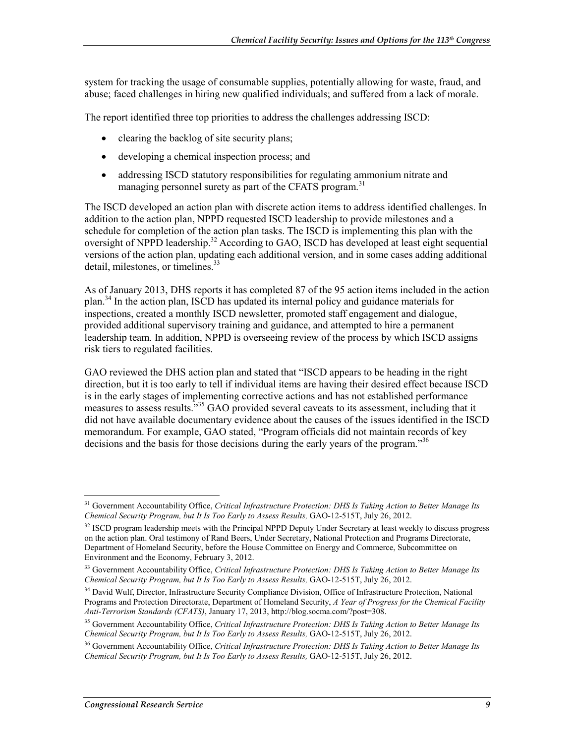system for tracking the usage of consumable supplies, potentially allowing for waste, fraud, and abuse; faced challenges in hiring new qualified individuals; and suffered from a lack of morale.

The report identified three top priorities to address the challenges addressing ISCD:

- clearing the backlog of site security plans;
- developing a chemical inspection process; and
- addressing ISCD statutory responsibilities for regulating ammonium nitrate and managing personnel surety as part of the CFATS program.<sup>31</sup>

The ISCD developed an action plan with discrete action items to address identified challenges. In addition to the action plan, NPPD requested ISCD leadership to provide milestones and a schedule for completion of the action plan tasks. The ISCD is implementing this plan with the oversight of NPPD leadership.<sup>32</sup> According to GAO, ISCD has developed at least eight sequential versions of the action plan, updating each additional version, and in some cases adding additional detail, milestones, or timelines.<sup>33</sup>

As of January 2013, DHS reports it has completed 87 of the 95 action items included in the action plan.<sup>34</sup> In the action plan, ISCD has updated its internal policy and guidance materials for inspections, created a monthly ISCD newsletter, promoted staff engagement and dialogue, provided additional supervisory training and guidance, and attempted to hire a permanent leadership team. In addition, NPPD is overseeing review of the process by which ISCD assigns risk tiers to regulated facilities.

GAO reviewed the DHS action plan and stated that "ISCD appears to be heading in the right direction, but it is too early to tell if individual items are having their desired effect because ISCD is in the early stages of implementing corrective actions and has not established performance measures to assess results.<sup>535</sup> GAO provided several caveats to its assessment, including that it did not have available documentary evidence about the causes of the issues identified in the ISCD memorandum. For example, GAO stated, "Program officials did not maintain records of key decisions and the basis for those decisions during the early years of the program."<sup>36</sup>

<sup>1</sup> 31 Government Accountability Office, *Critical Infrastructure Protection: DHS Is Taking Action to Better Manage Its Chemical Security Program, but It Is Too Early to Assess Results,* GAO-12-515T, July 26, 2012.

<sup>&</sup>lt;sup>32</sup> ISCD program leadership meets with the Principal NPPD Deputy Under Secretary at least weekly to discuss progress on the action plan. Oral testimony of Rand Beers, Under Secretary, National Protection and Programs Directorate, Department of Homeland Security, before the House Committee on Energy and Commerce, Subcommittee on Environment and the Economy, February 3, 2012.

<sup>33</sup> Government Accountability Office, *Critical Infrastructure Protection: DHS Is Taking Action to Better Manage Its Chemical Security Program, but It Is Too Early to Assess Results,* GAO-12-515T, July 26, 2012.

<sup>&</sup>lt;sup>34</sup> David Wulf, Director, Infrastructure Security Compliance Division, Office of Infrastructure Protection, National Programs and Protection Directorate, Department of Homeland Security, *A Year of Progress for the Chemical Facility Anti-Terrorism Standards (CFATS)*, January 17, 2013, http://blog.socma.com/?post=308.

<sup>35</sup> Government Accountability Office, *Critical Infrastructure Protection: DHS Is Taking Action to Better Manage Its Chemical Security Program, but It Is Too Early to Assess Results,* GAO-12-515T, July 26, 2012.

<sup>36</sup> Government Accountability Office, *Critical Infrastructure Protection: DHS Is Taking Action to Better Manage Its Chemical Security Program, but It Is Too Early to Assess Results,* GAO-12-515T, July 26, 2012.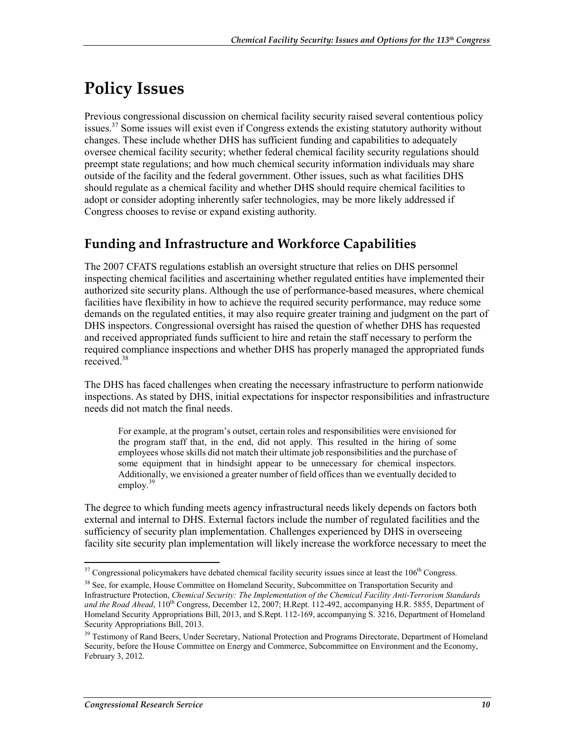# **Policy Issues**

Previous congressional discussion on chemical facility security raised several contentious policy issues.<sup>37</sup> Some issues will exist even if Congress extends the existing statutory authority without changes. These include whether DHS has sufficient funding and capabilities to adequately oversee chemical facility security; whether federal chemical facility security regulations should preempt state regulations; and how much chemical security information individuals may share outside of the facility and the federal government. Other issues, such as what facilities DHS should regulate as a chemical facility and whether DHS should require chemical facilities to adopt or consider adopting inherently safer technologies, may be more likely addressed if Congress chooses to revise or expand existing authority.

## **Funding and Infrastructure and Workforce Capabilities**

The 2007 CFATS regulations establish an oversight structure that relies on DHS personnel inspecting chemical facilities and ascertaining whether regulated entities have implemented their authorized site security plans. Although the use of performance-based measures, where chemical facilities have flexibility in how to achieve the required security performance, may reduce some demands on the regulated entities, it may also require greater training and judgment on the part of DHS inspectors. Congressional oversight has raised the question of whether DHS has requested and received appropriated funds sufficient to hire and retain the staff necessary to perform the required compliance inspections and whether DHS has properly managed the appropriated funds received.38

The DHS has faced challenges when creating the necessary infrastructure to perform nationwide inspections. As stated by DHS, initial expectations for inspector responsibilities and infrastructure needs did not match the final needs.

For example, at the program's outset, certain roles and responsibilities were envisioned for the program staff that, in the end, did not apply. This resulted in the hiring of some employees whose skills did not match their ultimate job responsibilities and the purchase of some equipment that in hindsight appear to be unnecessary for chemical inspectors. Additionally, we envisioned a greater number of field offices than we eventually decided to employ. $39$ 

The degree to which funding meets agency infrastructural needs likely depends on factors both external and internal to DHS. External factors include the number of regulated facilities and the sufficiency of security plan implementation. Challenges experienced by DHS in overseeing facility site security plan implementation will likely increase the workforce necessary to meet the

 $37$  Congressional policymakers have debated chemical facility security issues since at least the  $106<sup>th</sup>$  Congress.

<sup>&</sup>lt;sup>38</sup> See, for example, House Committee on Homeland Security, Subcommittee on Transportation Security and Infrastructure Protection, *Chemical Security: The Implementation of the Chemical Facility Anti-Terrorism Standards*  and the Road Ahead, 110<sup>th</sup> Congress, December 12, 2007; H.Rept. 112-492, accompanying H.R. 5855, Department of Homeland Security Appropriations Bill, 2013, and S.Rept. 112-169, accompanying S. 3216, Department of Homeland Security Appropriations Bill, 2013.

<sup>&</sup>lt;sup>39</sup> Testimony of Rand Beers, Under Secretary, National Protection and Programs Directorate, Department of Homeland Security, before the House Committee on Energy and Commerce, Subcommittee on Environment and the Economy, February 3, 2012.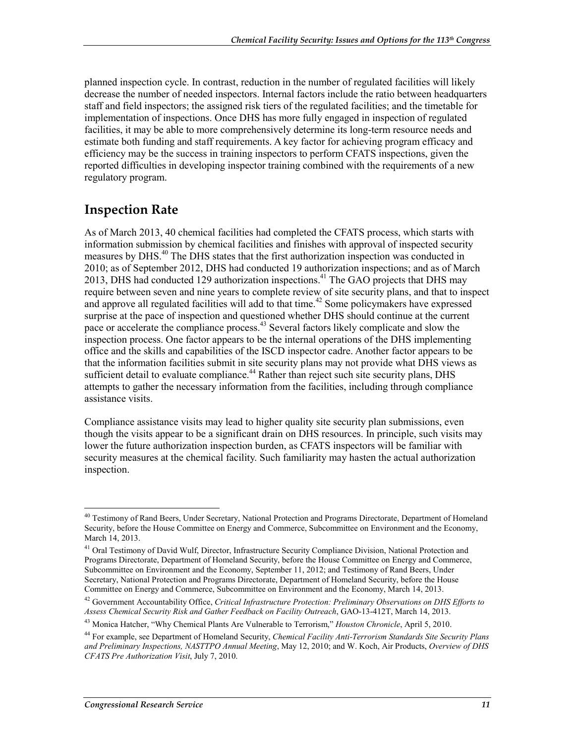planned inspection cycle. In contrast, reduction in the number of regulated facilities will likely decrease the number of needed inspectors. Internal factors include the ratio between headquarters staff and field inspectors; the assigned risk tiers of the regulated facilities; and the timetable for implementation of inspections. Once DHS has more fully engaged in inspection of regulated facilities, it may be able to more comprehensively determine its long-term resource needs and estimate both funding and staff requirements. A key factor for achieving program efficacy and efficiency may be the success in training inspectors to perform CFATS inspections, given the reported difficulties in developing inspector training combined with the requirements of a new regulatory program.

#### **Inspection Rate**

As of March 2013, 40 chemical facilities had completed the CFATS process, which starts with information submission by chemical facilities and finishes with approval of inspected security measures by DHS.40 The DHS states that the first authorization inspection was conducted in 2010; as of September 2012, DHS had conducted 19 authorization inspections; and as of March 2013, DHS had conducted 129 authorization inspections.<sup>41</sup> The GAO projects that DHS may require between seven and nine years to complete review of site security plans, and that to inspect and approve all regulated facilities will add to that time.<sup>42</sup> Some policymakers have expressed surprise at the pace of inspection and questioned whether DHS should continue at the current pace or accelerate the compliance process.<sup>43</sup> Several factors likely complicate and slow the inspection process. One factor appears to be the internal operations of the DHS implementing office and the skills and capabilities of the ISCD inspector cadre. Another factor appears to be that the information facilities submit in site security plans may not provide what DHS views as sufficient detail to evaluate compliance.<sup>44</sup> Rather than reject such site security plans, DHS attempts to gather the necessary information from the facilities, including through compliance assistance visits.

Compliance assistance visits may lead to higher quality site security plan submissions, even though the visits appear to be a significant drain on DHS resources. In principle, such visits may lower the future authorization inspection burden, as CFATS inspectors will be familiar with security measures at the chemical facility. Such familiarity may hasten the actual authorization inspection.

<sup>&</sup>lt;sup>40</sup> Testimony of Rand Beers, Under Secretary, National Protection and Programs Directorate, Department of Homeland Security, before the House Committee on Energy and Commerce, Subcommittee on Environment and the Economy, March 14, 2013.

<sup>&</sup>lt;sup>41</sup> Oral Testimony of David Wulf, Director, Infrastructure Security Compliance Division, National Protection and Programs Directorate, Department of Homeland Security, before the House Committee on Energy and Commerce, Subcommittee on Environment and the Economy, September 11, 2012; and Testimony of Rand Beers, Under Secretary, National Protection and Programs Directorate, Department of Homeland Security, before the House Committee on Energy and Commerce, Subcommittee on Environment and the Economy, March 14, 2013.

<sup>42</sup> Government Accountability Office, *Critical Infrastructure Protection: Preliminary Observations on DHS Efforts to Assess Chemical Security Risk and Gather Feedback on Facility Outreach*, GAO-13-412T, March 14, 2013.

<sup>43</sup> Monica Hatcher, "Why Chemical Plants Are Vulnerable to Terrorism," *Houston Chronicle*, April 5, 2010.

<sup>44</sup> For example, see Department of Homeland Security, *Chemical Facility Anti-Terrorism Standards Site Security Plans and Preliminary Inspections, NASTTPO Annual Meeting*, May 12, 2010; and W. Koch, Air Products, *Overview of DHS CFATS Pre Authorization Visit*, July 7, 2010.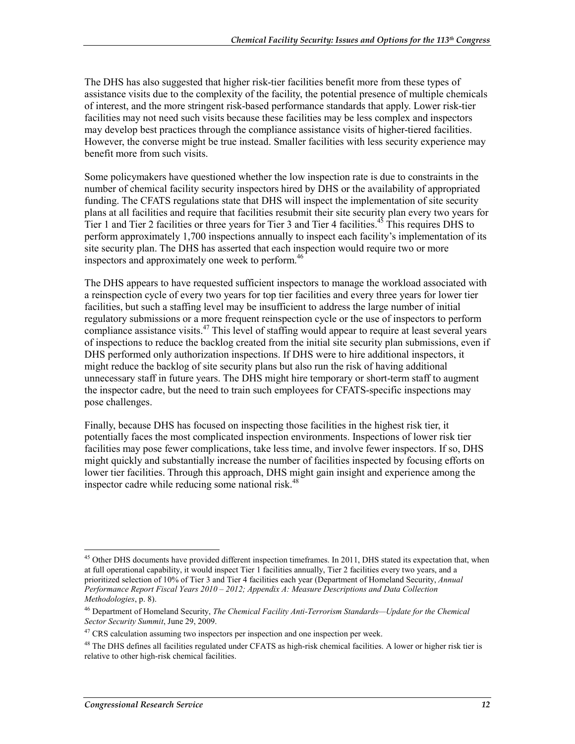The DHS has also suggested that higher risk-tier facilities benefit more from these types of assistance visits due to the complexity of the facility, the potential presence of multiple chemicals of interest, and the more stringent risk-based performance standards that apply. Lower risk-tier facilities may not need such visits because these facilities may be less complex and inspectors may develop best practices through the compliance assistance visits of higher-tiered facilities. However, the converse might be true instead. Smaller facilities with less security experience may benefit more from such visits.

Some policymakers have questioned whether the low inspection rate is due to constraints in the number of chemical facility security inspectors hired by DHS or the availability of appropriated funding. The CFATS regulations state that DHS will inspect the implementation of site security plans at all facilities and require that facilities resubmit their site security plan every two years for Tier 1 and Tier 2 facilities or three years for Tier 3 and Tier 4 facilities.<sup>45</sup> This requires DHS to perform approximately 1,700 inspections annually to inspect each facility's implementation of its site security plan. The DHS has asserted that each inspection would require two or more inspectors and approximately one week to perform.<sup>46</sup>

The DHS appears to have requested sufficient inspectors to manage the workload associated with a reinspection cycle of every two years for top tier facilities and every three years for lower tier facilities, but such a staffing level may be insufficient to address the large number of initial regulatory submissions or a more frequent reinspection cycle or the use of inspectors to perform compliance assistance visits.<sup>47</sup> This level of staffing would appear to require at least several years of inspections to reduce the backlog created from the initial site security plan submissions, even if DHS performed only authorization inspections. If DHS were to hire additional inspectors, it might reduce the backlog of site security plans but also run the risk of having additional unnecessary staff in future years. The DHS might hire temporary or short-term staff to augment the inspector cadre, but the need to train such employees for CFATS-specific inspections may pose challenges.

Finally, because DHS has focused on inspecting those facilities in the highest risk tier, it potentially faces the most complicated inspection environments. Inspections of lower risk tier facilities may pose fewer complications, take less time, and involve fewer inspectors. If so, DHS might quickly and substantially increase the number of facilities inspected by focusing efforts on lower tier facilities. Through this approach, DHS might gain insight and experience among the inspector cadre while reducing some national risk.<sup>48</sup>

<sup>&</sup>lt;sup>45</sup> Other DHS documents have provided different inspection timeframes. In 2011, DHS stated its expectation that, when at full operational capability, it would inspect Tier 1 facilities annually, Tier 2 facilities every two years, and a prioritized selection of 10% of Tier 3 and Tier 4 facilities each year (Department of Homeland Security, *Annual Performance Report Fiscal Years 2010 – 2012; Appendix A: Measure Descriptions and Data Collection Methodologies*, p. 8).

<sup>46</sup> Department of Homeland Security, *The Chemical Facility Anti-Terrorism Standards—Update for the Chemical Sector Security Summit*, June 29, 2009.

<sup>&</sup>lt;sup>47</sup> CRS calculation assuming two inspectors per inspection and one inspection per week.

 $48$  The DHS defines all facilities regulated under CFATS as high-risk chemical facilities. A lower or higher risk tier is relative to other high-risk chemical facilities.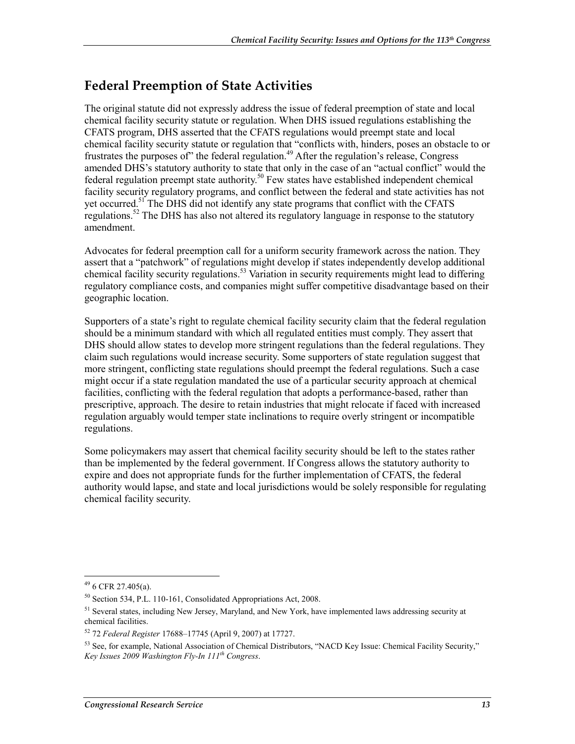## **Federal Preemption of State Activities**

The original statute did not expressly address the issue of federal preemption of state and local chemical facility security statute or regulation. When DHS issued regulations establishing the CFATS program, DHS asserted that the CFATS regulations would preempt state and local chemical facility security statute or regulation that "conflicts with, hinders, poses an obstacle to or frustrates the purposes of" the federal regulation.<sup>49</sup> After the regulation's release, Congress amended DHS's statutory authority to state that only in the case of an "actual conflict" would the federal regulation preempt state authority.<sup>50</sup> Few states have established independent chemical facility security regulatory programs, and conflict between the federal and state activities has not yet occurred.<sup>51</sup> The DHS did not identify any state programs that conflict with the CFATS regulations.<sup>52</sup> The DHS has also not altered its regulatory language in response to the statutory amendment.

Advocates for federal preemption call for a uniform security framework across the nation. They assert that a "patchwork" of regulations might develop if states independently develop additional chemical facility security regulations.<sup>53</sup> Variation in security requirements might lead to differing regulatory compliance costs, and companies might suffer competitive disadvantage based on their geographic location.

Supporters of a state's right to regulate chemical facility security claim that the federal regulation should be a minimum standard with which all regulated entities must comply. They assert that DHS should allow states to develop more stringent regulations than the federal regulations. They claim such regulations would increase security. Some supporters of state regulation suggest that more stringent, conflicting state regulations should preempt the federal regulations. Such a case might occur if a state regulation mandated the use of a particular security approach at chemical facilities, conflicting with the federal regulation that adopts a performance-based, rather than prescriptive, approach. The desire to retain industries that might relocate if faced with increased regulation arguably would temper state inclinations to require overly stringent or incompatible regulations.

Some policymakers may assert that chemical facility security should be left to the states rather than be implemented by the federal government. If Congress allows the statutory authority to expire and does not appropriate funds for the further implementation of CFATS, the federal authority would lapse, and state and local jurisdictions would be solely responsible for regulating chemical facility security.

 $49$  6 CFR 27.405(a).

<sup>50</sup> Section 534, P.L. 110-161, Consolidated Appropriations Act, 2008.

<sup>51</sup> Several states, including New Jersey, Maryland, and New York, have implemented laws addressing security at chemical facilities.

<sup>52 72</sup> *Federal Register* 17688–17745 (April 9, 2007) at 17727.

<sup>&</sup>lt;sup>53</sup> See, for example, National Association of Chemical Distributors, "NACD Key Issue: Chemical Facility Security," *Key Issues 2009 Washington Fly-In 111th Congress*.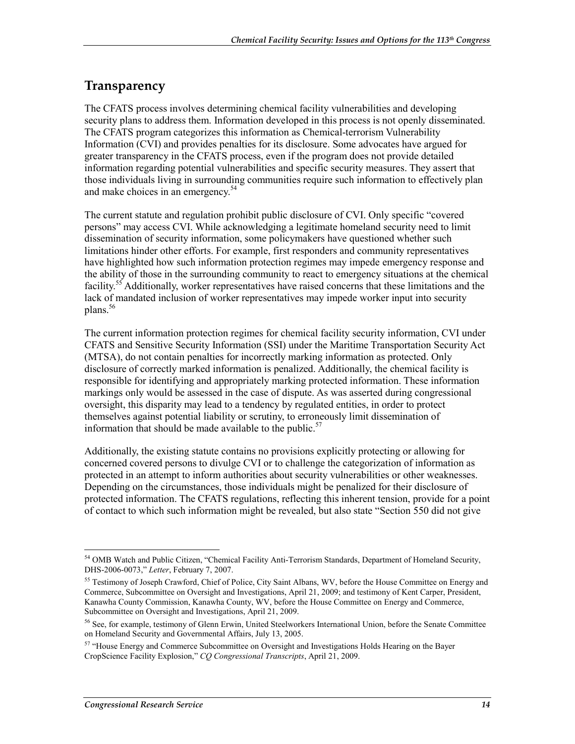#### **Transparency**

The CFATS process involves determining chemical facility vulnerabilities and developing security plans to address them. Information developed in this process is not openly disseminated. The CFATS program categorizes this information as Chemical-terrorism Vulnerability Information (CVI) and provides penalties for its disclosure. Some advocates have argued for greater transparency in the CFATS process, even if the program does not provide detailed information regarding potential vulnerabilities and specific security measures. They assert that those individuals living in surrounding communities require such information to effectively plan and make choices in an emergency.54

The current statute and regulation prohibit public disclosure of CVI. Only specific "covered persons" may access CVI. While acknowledging a legitimate homeland security need to limit dissemination of security information, some policymakers have questioned whether such limitations hinder other efforts. For example, first responders and community representatives have highlighted how such information protection regimes may impede emergency response and the ability of those in the surrounding community to react to emergency situations at the chemical facility.<sup>55</sup> Additionally, worker representatives have raised concerns that these limitations and the lack of mandated inclusion of worker representatives may impede worker input into security plans.<sup>56</sup>

The current information protection regimes for chemical facility security information, CVI under CFATS and Sensitive Security Information (SSI) under the Maritime Transportation Security Act (MTSA), do not contain penalties for incorrectly marking information as protected. Only disclosure of correctly marked information is penalized. Additionally, the chemical facility is responsible for identifying and appropriately marking protected information. These information markings only would be assessed in the case of dispute. As was asserted during congressional oversight, this disparity may lead to a tendency by regulated entities, in order to protect themselves against potential liability or scrutiny, to erroneously limit dissemination of information that should be made available to the public.<sup>57</sup>

Additionally, the existing statute contains no provisions explicitly protecting or allowing for concerned covered persons to divulge CVI or to challenge the categorization of information as protected in an attempt to inform authorities about security vulnerabilities or other weaknesses. Depending on the circumstances, those individuals might be penalized for their disclosure of protected information. The CFATS regulations, reflecting this inherent tension, provide for a point of contact to which such information might be revealed, but also state "Section 550 did not give

<sup>1</sup> <sup>54</sup> OMB Watch and Public Citizen, "Chemical Facility Anti-Terrorism Standards, Department of Homeland Security, DHS-2006-0073," *Letter*, February 7, 2007.

<sup>&</sup>lt;sup>55</sup> Testimony of Joseph Crawford, Chief of Police, City Saint Albans, WV, before the House Committee on Energy and Commerce, Subcommittee on Oversight and Investigations, April 21, 2009; and testimony of Kent Carper, President, Kanawha County Commission, Kanawha County, WV, before the House Committee on Energy and Commerce, Subcommittee on Oversight and Investigations, April 21, 2009.

<sup>&</sup>lt;sup>56</sup> See, for example, testimony of Glenn Erwin, United Steelworkers International Union, before the Senate Committee on Homeland Security and Governmental Affairs, July 13, 2005.

<sup>&</sup>lt;sup>57</sup> "House Energy and Commerce Subcommittee on Oversight and Investigations Holds Hearing on the Bayer CropScience Facility Explosion," *CQ Congressional Transcripts*, April 21, 2009.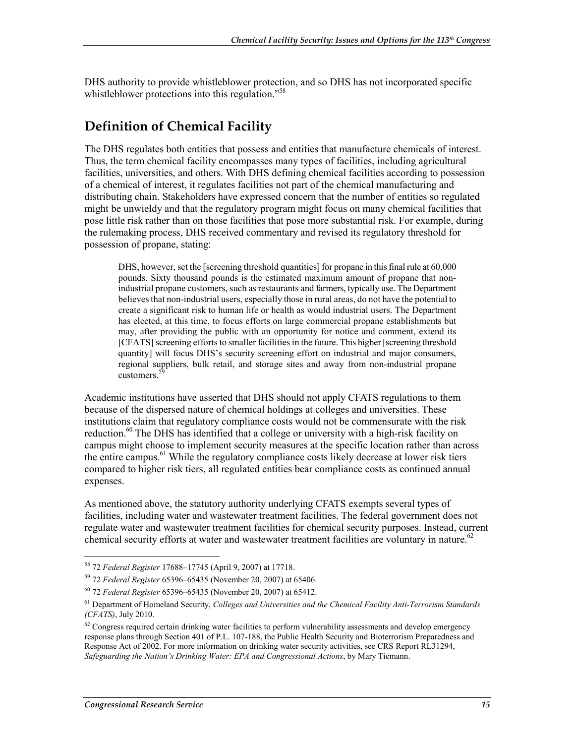DHS authority to provide whistleblower protection, and so DHS has not incorporated specific whistleblower protections into this regulation."<sup>58</sup>

## **Definition of Chemical Facility**

The DHS regulates both entities that possess and entities that manufacture chemicals of interest. Thus, the term chemical facility encompasses many types of facilities, including agricultural facilities, universities, and others. With DHS defining chemical facilities according to possession of a chemical of interest, it regulates facilities not part of the chemical manufacturing and distributing chain. Stakeholders have expressed concern that the number of entities so regulated might be unwieldy and that the regulatory program might focus on many chemical facilities that pose little risk rather than on those facilities that pose more substantial risk. For example, during the rulemaking process, DHS received commentary and revised its regulatory threshold for possession of propane, stating:

DHS, however, set the [screening threshold quantities] for propane in this final rule at 60,000 pounds. Sixty thousand pounds is the estimated maximum amount of propane that nonindustrial propane customers, such as restaurants and farmers, typically use. The Department believes that non-industrial users, especially those in rural areas, do not have the potential to create a significant risk to human life or health as would industrial users. The Department has elected, at this time, to focus efforts on large commercial propane establishments but may, after providing the public with an opportunity for notice and comment, extend its [CFATS] screening efforts to smaller facilities in the future. This higher [screening threshold quantity] will focus DHS's security screening effort on industrial and major consumers, regional suppliers, bulk retail, and storage sites and away from non-industrial propane customers<sup>3</sup>

Academic institutions have asserted that DHS should not apply CFATS regulations to them because of the dispersed nature of chemical holdings at colleges and universities. These institutions claim that regulatory compliance costs would not be commensurate with the risk reduction.<sup>60</sup> The DHS has identified that a college or university with a high-risk facility on campus might choose to implement security measures at the specific location rather than across the entire campus.<sup>61</sup> While the regulatory compliance costs likely decrease at lower risk tiers compared to higher risk tiers, all regulated entities bear compliance costs as continued annual expenses.

As mentioned above, the statutory authority underlying CFATS exempts several types of facilities, including water and wastewater treatment facilities. The federal government does not regulate water and wastewater treatment facilities for chemical security purposes. Instead, current chemical security efforts at water and wastewater treatment facilities are voluntary in nature.<sup>62</sup>

<sup>58 72</sup> *Federal Register* 17688–17745 (April 9, 2007) at 17718.

<sup>59 72</sup> *Federal Register* 65396–65435 (November 20, 2007) at 65406.

<sup>60 72</sup> *Federal Register* 65396–65435 (November 20, 2007) at 65412.

<sup>61</sup> Department of Homeland Security, *Colleges and Universities and the Chemical Facility Anti-Terrorism Standards (CFATS)*, July 2010.

 $62$  Congress required certain drinking water facilities to perform vulnerability assessments and develop emergency response plans through Section 401 of P.L. 107-188, the Public Health Security and Bioterrorism Preparedness and Response Act of 2002. For more information on drinking water security activities, see CRS Report RL31294, *Safeguarding the Nation's Drinking Water: EPA and Congressional Actions*, by Mary Tiemann.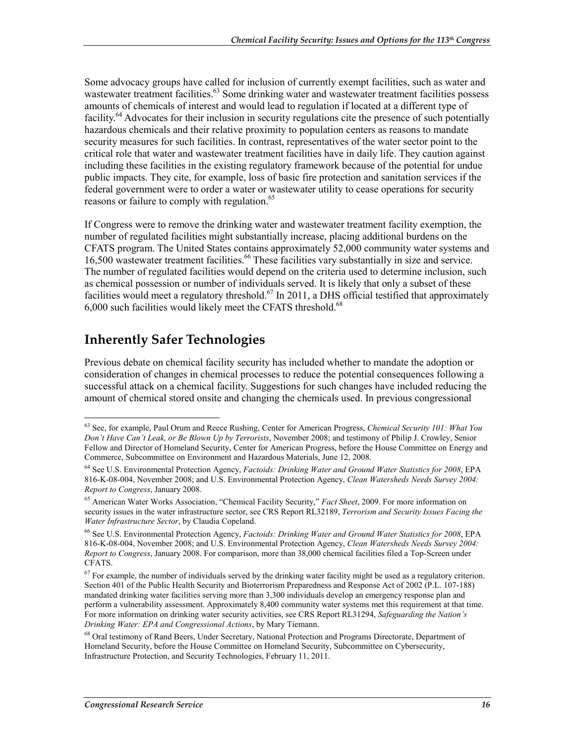Some advocacy groups have called for inclusion of currently exempt facilities, such as water and wastewater treatment facilities.<sup>63</sup> Some drinking water and wastewater treatment facilities possess amounts of chemicals of interest and would lead to regulation if located at a different type of facility.64 Advocates for their inclusion in security regulations cite the presence of such potentially hazardous chemicals and their relative proximity to population centers as reasons to mandate security measures for such facilities. In contrast, representatives of the water sector point to the critical role that water and wastewater treatment facilities have in daily life. They caution against including these facilities in the existing regulatory framework because of the potential for undue public impacts. They cite, for example, loss of basic fire protection and sanitation services if the federal government were to order a water or wastewater utility to cease operations for security reasons or failure to comply with regulation.<sup>65</sup>

If Congress were to remove the drinking water and wastewater treatment facility exemption, the number of regulated facilities might substantially increase, placing additional burdens on the CFATS program. The United States contains approximately 52,000 community water systems and 16,500 wastewater treatment facilities.<sup>66</sup> These facilities vary substantially in size and service. The number of regulated facilities would depend on the criteria used to determine inclusion, such as chemical possession or number of individuals served. It is likely that only a subset of these facilities would meet a regulatory threshold.<sup>67</sup> In 2011, a DHS official testified that approximately 6,000 such facilities would likely meet the CFATS threshold.<sup>68</sup>

## **Inherently Safer Technologies**

1

Previous debate on chemical facility security has included whether to mandate the adoption or consideration of changes in chemical processes to reduce the potential consequences following a successful attack on a chemical facility. Suggestions for such changes have included reducing the amount of chemical stored onsite and changing the chemicals used. In previous congressional

<sup>63</sup> See, for example, Paul Orum and Reece Rushing, Center for American Progress, *Chemical Security 101: What You Don't Have Can't Leak, or Be Blown Up by Terrorists*, November 2008; and testimony of Philip J. Crowley, Senior Fellow and Director of Homeland Security, Center for American Progress, before the House Committee on Energy and Commerce, Subcommittee on Environment and Hazardous Materials, June 12, 2008.

<sup>64</sup> See U.S. Environmental Protection Agency, *Factoids: Drinking Water and Ground Water Statistics for 2008*, EPA 816-K-08-004, November 2008; and U.S. Environmental Protection Agency, *Clean Watersheds Needs Survey 2004: Report to Congress*, January 2008.

<sup>65</sup> American Water Works Association, "Chemical Facility Security," *Fact Sheet*, 2009. For more information on security issues in the water infrastructure sector, see CRS Report RL32189, *Terrorism and Security Issues Facing the Water Infrastructure Sector*, by Claudia Copeland.

<sup>66</sup> See U.S. Environmental Protection Agency, *Factoids: Drinking Water and Ground Water Statistics for 2008*, EPA 816-K-08-004, November 2008; and U.S. Environmental Protection Agency, *Clean Watersheds Needs Survey 2004: Report to Congress*, January 2008. For comparison, more than 38,000 chemical facilities filed a Top-Screen under CFATS.

 $67$  For example, the number of individuals served by the drinking water facility might be used as a regulatory criterion. Section 401 of the Public Health Security and Bioterrorism Preparedness and Response Act of 2002 (P.L. 107-188) mandated drinking water facilities serving more than 3,300 individuals develop an emergency response plan and perform a vulnerability assessment. Approximately 8,400 community water systems met this requirement at that time. For more information on drinking water security activities, see CRS Report RL31294, *Safeguarding the Nation's Drinking Water: EPA and Congressional Actions*, by Mary Tiemann.

<sup>68</sup> Oral testimony of Rand Beers, Under Secretary, National Protection and Programs Directorate, Department of Homeland Security, before the House Committee on Homeland Security, Subcommittee on Cybersecurity, Infrastructure Protection, and Security Technologies, February 11, 2011.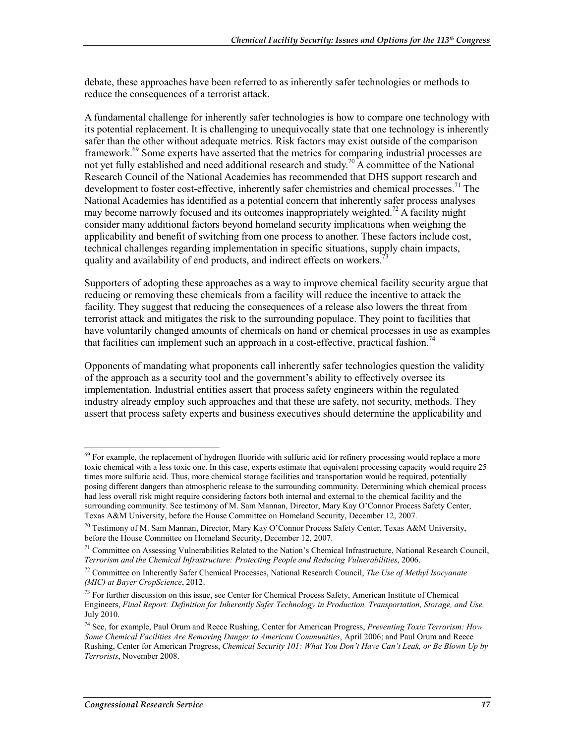debate, these approaches have been referred to as inherently safer technologies or methods to reduce the consequences of a terrorist attack.

A fundamental challenge for inherently safer technologies is how to compare one technology with its potential replacement. It is challenging to unequivocally state that one technology is inherently safer than the other without adequate metrics. Risk factors may exist outside of the comparison framework.<sup>69</sup> Some experts have asserted that the metrics for comparing industrial processes are not yet fully established and need additional research and study.<sup>70</sup> A committee of the National Research Council of the National Academies has recommended that DHS support research and development to foster cost-effective, inherently safer chemistries and chemical processes.<sup>71</sup> The National Academies has identified as a potential concern that inherently safer process analyses may become narrowly focused and its outcomes inappropriately weighted.<sup>72</sup> A facility might consider many additional factors beyond homeland security implications when weighing the applicability and benefit of switching from one process to another. These factors include cost, technical challenges regarding implementation in specific situations, supply chain impacts, quality and availability of end products, and indirect effects on workers.<sup>7</sup>

Supporters of adopting these approaches as a way to improve chemical facility security argue that reducing or removing these chemicals from a facility will reduce the incentive to attack the facility. They suggest that reducing the consequences of a release also lowers the threat from terrorist attack and mitigates the risk to the surrounding populace. They point to facilities that have voluntarily changed amounts of chemicals on hand or chemical processes in use as examples that facilities can implement such an approach in a cost-effective, practical fashion.<sup>74</sup>

Opponents of mandating what proponents call inherently safer technologies question the validity of the approach as a security tool and the government's ability to effectively oversee its implementation. Industrial entities assert that process safety engineers within the regulated industry already employ such approaches and that these are safety, not security, methods. They assert that process safety experts and business executives should determine the applicability and

<sup>&</sup>lt;sup>69</sup> For example, the replacement of hydrogen fluoride with sulfuric acid for refinery processing would replace a more toxic chemical with a less toxic one. In this case, experts estimate that equivalent processing capacity would require 25 times more sulfuric acid. Thus, more chemical storage facilities and transportation would be required, potentially posing different dangers than atmospheric release to the surrounding community. Determining which chemical process had less overall risk might require considering factors both internal and external to the chemical facility and the surrounding community. See testimony of M. Sam Mannan, Director, Mary Kay O'Connor Process Safety Center, Texas A&M University, before the House Committee on Homeland Security, December 12, 2007.

<sup>70</sup> Testimony of M. Sam Mannan, Director, Mary Kay O'Connor Process Safety Center, Texas A&M University, before the House Committee on Homeland Security, December 12, 2007.

 $<sup>71</sup>$  Committee on Assessing Vulnerabilities Related to the Nation's Chemical Infrastructure, National Research Council,</sup> *Terrorism and the Chemical Infrastructure: Protecting People and Reducing Vulnerabilities*, 2006.

<sup>72</sup> Committee on Inherently Safer Chemical Processes, National Research Council, *The Use of Methyl Isocyanate (MIC) at Bayer CropScience*, 2012.

<sup>&</sup>lt;sup>73</sup> For further discussion on this issue, see Center for Chemical Process Safety, American Institute of Chemical Engineers, *Final Report: Definition for Inherently Safer Technology in Production, Transportation, Storage, and Use,*  July 2010.

<sup>74</sup> See, for example, Paul Orum and Reece Rushing, Center for American Progress, *Preventing Toxic Terrorism: How Some Chemical Facilities Are Removing Danger to American Communities*, April 2006; and Paul Orum and Reece Rushing, Center for American Progress, *Chemical Security 101: What You Don't Have Can't Leak, or Be Blown Up by Terrorists*, November 2008.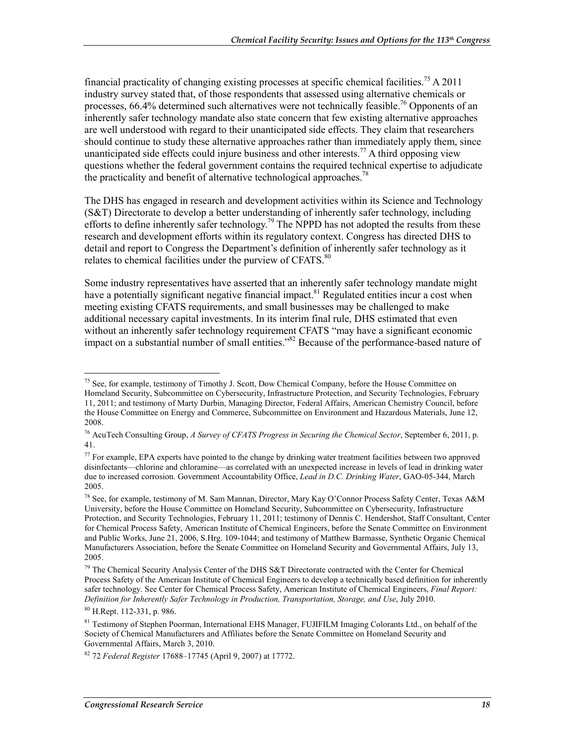financial practicality of changing existing processes at specific chemical facilities.<sup>75</sup> A 2011 industry survey stated that, of those respondents that assessed using alternative chemicals or processes,  $66.4\%$  determined such alternatives were not technically feasible.<sup>76</sup> Opponents of an inherently safer technology mandate also state concern that few existing alternative approaches are well understood with regard to their unanticipated side effects. They claim that researchers should continue to study these alternative approaches rather than immediately apply them, since unanticipated side effects could injure business and other interests.<sup>77</sup> A third opposing view questions whether the federal government contains the required technical expertise to adjudicate the practicality and benefit of alternative technological approaches.<sup>78</sup>

The DHS has engaged in research and development activities within its Science and Technology (S&T) Directorate to develop a better understanding of inherently safer technology, including efforts to define inherently safer technology.<sup>79</sup> The NPPD has not adopted the results from these research and development efforts within its regulatory context. Congress has directed DHS to detail and report to Congress the Department's definition of inherently safer technology as it relates to chemical facilities under the purview of CFATS.<sup>80</sup>

Some industry representatives have asserted that an inherently safer technology mandate might have a potentially significant negative financial impact.<sup>81</sup> Regulated entities incur a cost when meeting existing CFATS requirements, and small businesses may be challenged to make additional necessary capital investments. In its interim final rule, DHS estimated that even without an inherently safer technology requirement CFATS "may have a significant economic impact on a substantial number of small entities."82 Because of the performance-based nature of

<sup>1</sup> <sup>75</sup> See, for example, testimony of Timothy J. Scott, Dow Chemical Company, before the House Committee on Homeland Security, Subcommittee on Cybersecurity, Infrastructure Protection, and Security Technologies, February 11, 2011; and testimony of Marty Durbin, Managing Director, Federal Affairs, American Chemistry Council, before the House Committee on Energy and Commerce, Subcommittee on Environment and Hazardous Materials, June 12, 2008.

<sup>76</sup> AcuTech Consulting Group, *A Survey of CFATS Progress in Securing the Chemical Sector*, September 6, 2011, p. 41.

<sup>&</sup>lt;sup>77</sup> For example, EPA experts have pointed to the change by drinking water treatment facilities between two approved disinfectants—chlorine and chloramine—as correlated with an unexpected increase in levels of lead in drinking water due to increased corrosion. Government Accountability Office, *Lead in D.C. Drinking Water*, GAO-05-344, March 2005.

<sup>78</sup> See, for example, testimony of M. Sam Mannan, Director, Mary Kay O'Connor Process Safety Center, Texas A&M University, before the House Committee on Homeland Security, Subcommittee on Cybersecurity, Infrastructure Protection, and Security Technologies, February 11, 2011; testimony of Dennis C. Hendershot, Staff Consultant, Center for Chemical Process Safety, American Institute of Chemical Engineers, before the Senate Committee on Environment and Public Works, June 21, 2006, S.Hrg. 109-1044; and testimony of Matthew Barmasse, Synthetic Organic Chemical Manufacturers Association, before the Senate Committee on Homeland Security and Governmental Affairs, July 13, 2005.

<sup>79</sup> The Chemical Security Analysis Center of the DHS S&T Directorate contracted with the Center for Chemical Process Safety of the American Institute of Chemical Engineers to develop a technically based definition for inherently safer technology. See Center for Chemical Process Safety, American Institute of Chemical Engineers, *Final Report: Definition for Inherently Safer Technology in Production, Transportation, Storage, and Use*, July 2010.

<sup>80</sup> H.Rept. 112-331, p. 986.

<sup>&</sup>lt;sup>81</sup> Testimony of Stephen Poorman, International EHS Manager, FUJIFILM Imaging Colorants Ltd., on behalf of the Society of Chemical Manufacturers and Affiliates before the Senate Committee on Homeland Security and Governmental Affairs, March 3, 2010.

<sup>82 72</sup> *Federal Register* 17688–17745 (April 9, 2007) at 17772.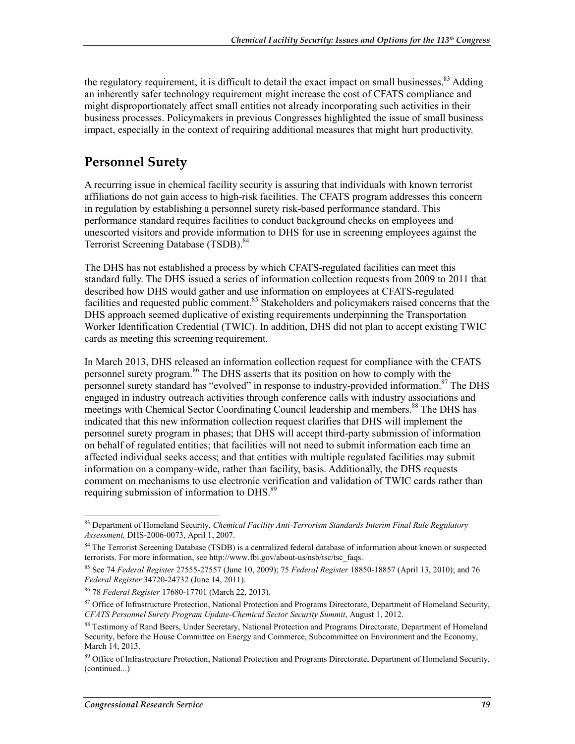the regulatory requirement, it is difficult to detail the exact impact on small businesses.<sup>83</sup> Adding an inherently safer technology requirement might increase the cost of CFATS compliance and might disproportionately affect small entities not already incorporating such activities in their business processes. Policymakers in previous Congresses highlighted the issue of small business impact, especially in the context of requiring additional measures that might hurt productivity.

#### **Personnel Surety**

A recurring issue in chemical facility security is assuring that individuals with known terrorist affiliations do not gain access to high-risk facilities. The CFATS program addresses this concern in regulation by establishing a personnel surety risk-based performance standard. This performance standard requires facilities to conduct background checks on employees and unescorted visitors and provide information to DHS for use in screening employees against the Terrorist Screening Database (TSDB).<sup>84</sup>

The DHS has not established a process by which CFATS-regulated facilities can meet this standard fully. The DHS issued a series of information collection requests from 2009 to 2011 that described how DHS would gather and use information on employees at CFATS-regulated facilities and requested public comment.<sup>85</sup> Stakeholders and policymakers raised concerns that the DHS approach seemed duplicative of existing requirements underpinning the Transportation Worker Identification Credential (TWIC). In addition, DHS did not plan to accept existing TWIC cards as meeting this screening requirement.

In March 2013, DHS released an information collection request for compliance with the CFATS personnel surety program.<sup>86</sup> The DHS asserts that its position on how to comply with the personnel surety standard has "evolved" in response to industry-provided information.<sup>87</sup> The DHS engaged in industry outreach activities through conference calls with industry associations and meetings with Chemical Sector Coordinating Council leadership and members.<sup>88</sup> The DHS has indicated that this new information collection request clarifies that DHS will implement the personnel surety program in phases; that DHS will accept third-party submission of information on behalf of regulated entities; that facilities will not need to submit information each time an affected individual seeks access; and that entities with multiple regulated facilities may submit information on a company-wide, rather than facility, basis. Additionally, the DHS requests comment on mechanisms to use electronic verification and validation of TWIC cards rather than requiring submission of information to DHS.<sup>89</sup>

<sup>83</sup> Department of Homeland Security, *Chemical Facility Anti-Terrorism Standards Interim Final Rule Regulatory Assessment,* DHS-2006-0073, April 1, 2007.

<sup>&</sup>lt;sup>84</sup> The Terrorist Screening Database (TSDB) is a centralized federal database of information about known or suspected terrorists. For more information, see http://www.fbi.gov/about-us/nsb/tsc/tsc\_faqs.

<sup>85</sup> See 74 *Federal Register* 27555-27557 (June 10, 2009); 75 *Federal Register* 18850-18857 (April 13, 2010); and 76 *Federal Register* 34720-24732 (June 14, 2011).

<sup>86 78</sup> *Federal Register* 17680-17701 (March 22, 2013).

<sup>&</sup>lt;sup>87</sup> Office of Infrastructure Protection, National Protection and Programs Directorate, Department of Homeland Security, *CFATS Personnel Surety Program Update-Chemical Sector Security Summit*, August 1, 2012.

<sup>&</sup>lt;sup>88</sup> Testimony of Rand Beers, Under Secretary, National Protection and Programs Directorate, Department of Homeland Security, before the House Committee on Energy and Commerce, Subcommittee on Environment and the Economy, March 14, 2013.

<sup>&</sup>lt;sup>89</sup> Office of Infrastructure Protection, National Protection and Programs Directorate, Department of Homeland Security, (continued...)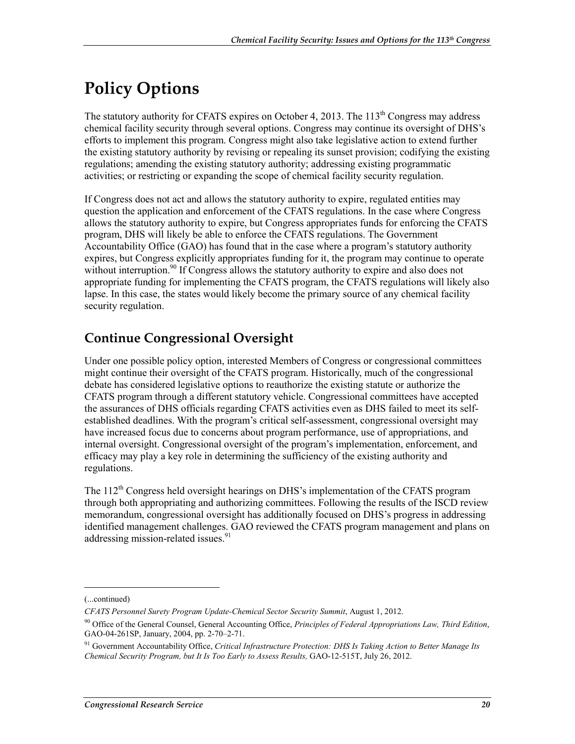# **Policy Options**

The statutory authority for CFATS expires on October 4, 2013. The 113<sup>th</sup> Congress may address chemical facility security through several options. Congress may continue its oversight of DHS's efforts to implement this program. Congress might also take legislative action to extend further the existing statutory authority by revising or repealing its sunset provision; codifying the existing regulations; amending the existing statutory authority; addressing existing programmatic activities; or restricting or expanding the scope of chemical facility security regulation.

If Congress does not act and allows the statutory authority to expire, regulated entities may question the application and enforcement of the CFATS regulations. In the case where Congress allows the statutory authority to expire, but Congress appropriates funds for enforcing the CFATS program, DHS will likely be able to enforce the CFATS regulations. The Government Accountability Office (GAO) has found that in the case where a program's statutory authority expires, but Congress explicitly appropriates funding for it, the program may continue to operate without interruption.<sup>90</sup> If Congress allows the statutory authority to expire and also does not appropriate funding for implementing the CFATS program, the CFATS regulations will likely also lapse. In this case, the states would likely become the primary source of any chemical facility security regulation.

## **Continue Congressional Oversight**

Under one possible policy option, interested Members of Congress or congressional committees might continue their oversight of the CFATS program. Historically, much of the congressional debate has considered legislative options to reauthorize the existing statute or authorize the CFATS program through a different statutory vehicle. Congressional committees have accepted the assurances of DHS officials regarding CFATS activities even as DHS failed to meet its selfestablished deadlines. With the program's critical self-assessment, congressional oversight may have increased focus due to concerns about program performance, use of appropriations, and internal oversight. Congressional oversight of the program's implementation, enforcement, and efficacy may play a key role in determining the sufficiency of the existing authority and regulations.

The 112<sup>th</sup> Congress held oversight hearings on DHS's implementation of the CFATS program through both appropriating and authorizing committees. Following the results of the ISCD review memorandum, congressional oversight has additionally focused on DHS's progress in addressing identified management challenges. GAO reviewed the CFATS program management and plans on addressing mission-related issues.<sup>91</sup>

 $\overline{\phantom{a}}$ 

<sup>(...</sup>continued)

*CFATS Personnel Surety Program Update-Chemical Sector Security Summit*, August 1, 2012.

<sup>90</sup> Office of the General Counsel, General Accounting Office, *Principles of Federal Appropriations Law, Third Edition*, GAO-04-261SP, January, 2004, pp. 2-70–2-71.

<sup>91</sup> Government Accountability Office, *Critical Infrastructure Protection: DHS Is Taking Action to Better Manage Its Chemical Security Program, but It Is Too Early to Assess Results,* GAO-12-515T, July 26, 2012.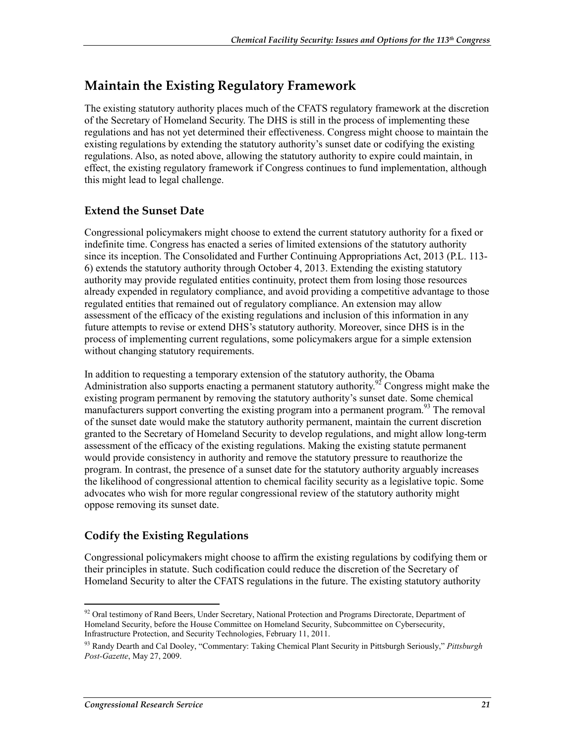#### **Maintain the Existing Regulatory Framework**

The existing statutory authority places much of the CFATS regulatory framework at the discretion of the Secretary of Homeland Security. The DHS is still in the process of implementing these regulations and has not yet determined their effectiveness. Congress might choose to maintain the existing regulations by extending the statutory authority's sunset date or codifying the existing regulations. Also, as noted above, allowing the statutory authority to expire could maintain, in effect, the existing regulatory framework if Congress continues to fund implementation, although this might lead to legal challenge.

#### **Extend the Sunset Date**

Congressional policymakers might choose to extend the current statutory authority for a fixed or indefinite time. Congress has enacted a series of limited extensions of the statutory authority since its inception. The Consolidated and Further Continuing Appropriations Act, 2013 (P.L. 113- 6) extends the statutory authority through October 4, 2013. Extending the existing statutory authority may provide regulated entities continuity, protect them from losing those resources already expended in regulatory compliance, and avoid providing a competitive advantage to those regulated entities that remained out of regulatory compliance. An extension may allow assessment of the efficacy of the existing regulations and inclusion of this information in any future attempts to revise or extend DHS's statutory authority. Moreover, since DHS is in the process of implementing current regulations, some policymakers argue for a simple extension without changing statutory requirements.

In addition to requesting a temporary extension of the statutory authority, the Obama Administration also supports enacting a permanent statutory authority.<sup>92</sup> Congress might make the existing program permanent by removing the statutory authority's sunset date. Some chemical manufacturers support converting the existing program into a permanent program.<sup>93</sup> The removal of the sunset date would make the statutory authority permanent, maintain the current discretion granted to the Secretary of Homeland Security to develop regulations, and might allow long-term assessment of the efficacy of the existing regulations. Making the existing statute permanent would provide consistency in authority and remove the statutory pressure to reauthorize the program. In contrast, the presence of a sunset date for the statutory authority arguably increases the likelihood of congressional attention to chemical facility security as a legislative topic. Some advocates who wish for more regular congressional review of the statutory authority might oppose removing its sunset date.

#### **Codify the Existing Regulations**

Congressional policymakers might choose to affirm the existing regulations by codifying them or their principles in statute. Such codification could reduce the discretion of the Secretary of Homeland Security to alter the CFATS regulations in the future. The existing statutory authority

<sup>&</sup>lt;sup>92</sup> Oral testimony of Rand Beers, Under Secretary, National Protection and Programs Directorate, Department of Homeland Security, before the House Committee on Homeland Security, Subcommittee on Cybersecurity, Infrastructure Protection, and Security Technologies, February 11, 2011.

<sup>93</sup> Randy Dearth and Cal Dooley, "Commentary: Taking Chemical Plant Security in Pittsburgh Seriously," *Pittsburgh Post-Gazette*, May 27, 2009.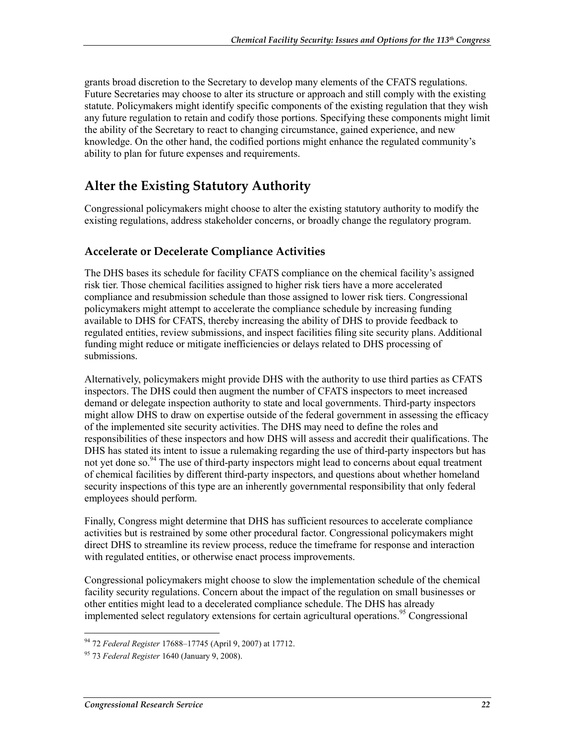grants broad discretion to the Secretary to develop many elements of the CFATS regulations. Future Secretaries may choose to alter its structure or approach and still comply with the existing statute. Policymakers might identify specific components of the existing regulation that they wish any future regulation to retain and codify those portions. Specifying these components might limit the ability of the Secretary to react to changing circumstance, gained experience, and new knowledge. On the other hand, the codified portions might enhance the regulated community's ability to plan for future expenses and requirements.

#### **Alter the Existing Statutory Authority**

Congressional policymakers might choose to alter the existing statutory authority to modify the existing regulations, address stakeholder concerns, or broadly change the regulatory program.

#### **Accelerate or Decelerate Compliance Activities**

The DHS bases its schedule for facility CFATS compliance on the chemical facility's assigned risk tier. Those chemical facilities assigned to higher risk tiers have a more accelerated compliance and resubmission schedule than those assigned to lower risk tiers. Congressional policymakers might attempt to accelerate the compliance schedule by increasing funding available to DHS for CFATS, thereby increasing the ability of DHS to provide feedback to regulated entities, review submissions, and inspect facilities filing site security plans. Additional funding might reduce or mitigate inefficiencies or delays related to DHS processing of submissions.

Alternatively, policymakers might provide DHS with the authority to use third parties as CFATS inspectors. The DHS could then augment the number of CFATS inspectors to meet increased demand or delegate inspection authority to state and local governments. Third-party inspectors might allow DHS to draw on expertise outside of the federal government in assessing the efficacy of the implemented site security activities. The DHS may need to define the roles and responsibilities of these inspectors and how DHS will assess and accredit their qualifications. The DHS has stated its intent to issue a rulemaking regarding the use of third-party inspectors but has not yet done so.<sup>94</sup> The use of third-party inspectors might lead to concerns about equal treatment of chemical facilities by different third-party inspectors, and questions about whether homeland security inspections of this type are an inherently governmental responsibility that only federal employees should perform.

Finally, Congress might determine that DHS has sufficient resources to accelerate compliance activities but is restrained by some other procedural factor. Congressional policymakers might direct DHS to streamline its review process, reduce the timeframe for response and interaction with regulated entities, or otherwise enact process improvements.

Congressional policymakers might choose to slow the implementation schedule of the chemical facility security regulations. Concern about the impact of the regulation on small businesses or other entities might lead to a decelerated compliance schedule. The DHS has already implemented select regulatory extensions for certain agricultural operations.<sup>95</sup> Congressional

<sup>1</sup> 94 72 *Federal Register* 17688–17745 (April 9, 2007) at 17712.

<sup>95 73</sup> *Federal Register* 1640 (January 9, 2008).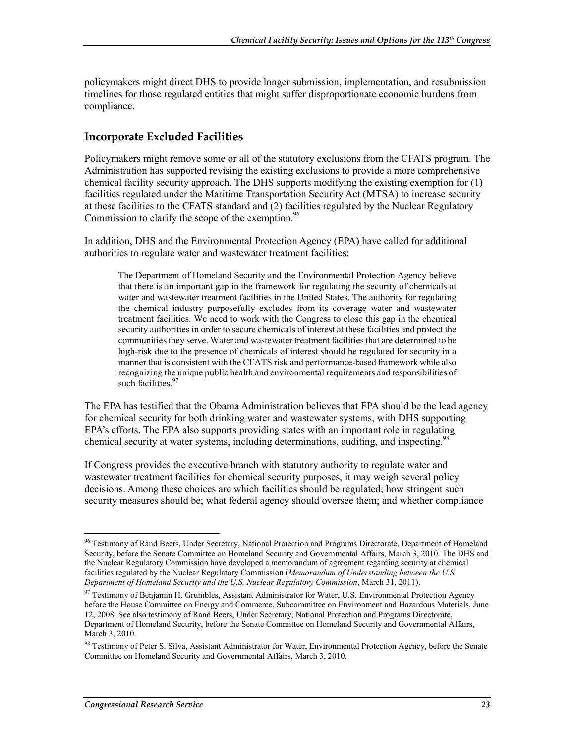policymakers might direct DHS to provide longer submission, implementation, and resubmission timelines for those regulated entities that might suffer disproportionate economic burdens from compliance.

#### **Incorporate Excluded Facilities**

Policymakers might remove some or all of the statutory exclusions from the CFATS program. The Administration has supported revising the existing exclusions to provide a more comprehensive chemical facility security approach. The DHS supports modifying the existing exemption for (1) facilities regulated under the Maritime Transportation Security Act (MTSA) to increase security at these facilities to the CFATS standard and (2) facilities regulated by the Nuclear Regulatory Commission to clarify the scope of the exemption.<sup>96</sup>

In addition, DHS and the Environmental Protection Agency (EPA) have called for additional authorities to regulate water and wastewater treatment facilities:

The Department of Homeland Security and the Environmental Protection Agency believe that there is an important gap in the framework for regulating the security of chemicals at water and wastewater treatment facilities in the United States. The authority for regulating the chemical industry purposefully excludes from its coverage water and wastewater treatment facilities. We need to work with the Congress to close this gap in the chemical security authorities in order to secure chemicals of interest at these facilities and protect the communities they serve. Water and wastewater treatment facilities that are determined to be high-risk due to the presence of chemicals of interest should be regulated for security in a manner that is consistent with the CFATS risk and performance-based framework while also recognizing the unique public health and environmental requirements and responsibilities of such facilities.<sup>97</sup>

The EPA has testified that the Obama Administration believes that EPA should be the lead agency for chemical security for both drinking water and wastewater systems, with DHS supporting EPA's efforts. The EPA also supports providing states with an important role in regulating chemical security at water systems, including determinations, auditing, and inspecting.<sup>98</sup>

If Congress provides the executive branch with statutory authority to regulate water and wastewater treatment facilities for chemical security purposes, it may weigh several policy decisions. Among these choices are which facilities should be regulated; how stringent such security measures should be; what federal agency should oversee them; and whether compliance

<sup>&</sup>lt;sup>96</sup> Testimony of Rand Beers, Under Secretary, National Protection and Programs Directorate, Department of Homeland Security, before the Senate Committee on Homeland Security and Governmental Affairs, March 3, 2010. The DHS and the Nuclear Regulatory Commission have developed a memorandum of agreement regarding security at chemical facilities regulated by the Nuclear Regulatory Commission (*Memorandum of Understanding between the U.S. Department of Homeland Security and the U.S. Nuclear Regulatory Commission*, March 31, 2011).

<sup>97</sup> Testimony of Benjamin H. Grumbles, Assistant Administrator for Water, U.S. Environmental Protection Agency before the House Committee on Energy and Commerce, Subcommittee on Environment and Hazardous Materials, June 12, 2008. See also testimony of Rand Beers, Under Secretary, National Protection and Programs Directorate, Department of Homeland Security, before the Senate Committee on Homeland Security and Governmental Affairs, March 3, 2010.

<sup>98</sup> Testimony of Peter S. Silva, Assistant Administrator for Water, Environmental Protection Agency, before the Senate Committee on Homeland Security and Governmental Affairs, March 3, 2010.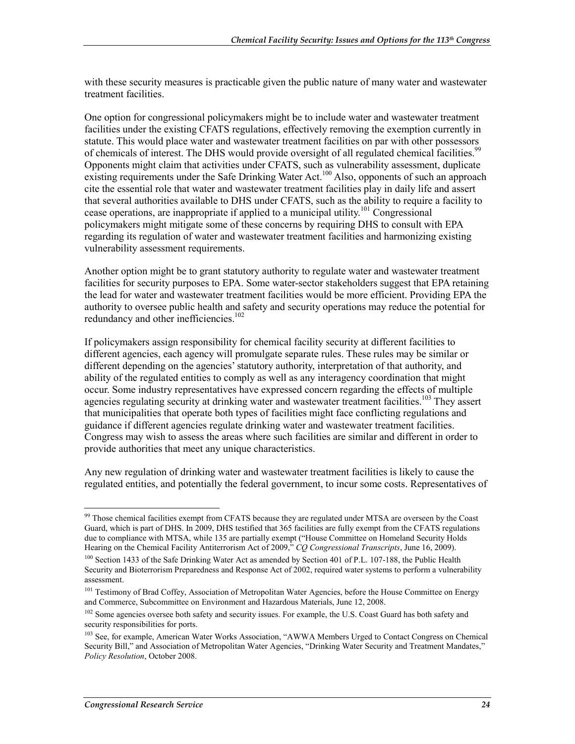with these security measures is practicable given the public nature of many water and wastewater treatment facilities.

One option for congressional policymakers might be to include water and wastewater treatment facilities under the existing CFATS regulations, effectively removing the exemption currently in statute. This would place water and wastewater treatment facilities on par with other possessors of chemicals of interest. The DHS would provide oversight of all regulated chemical facilities.<sup>99</sup> Opponents might claim that activities under CFATS, such as vulnerability assessment, duplicate existing requirements under the Safe Drinking Water Act.<sup>100</sup> Also, opponents of such an approach cite the essential role that water and wastewater treatment facilities play in daily life and assert that several authorities available to DHS under CFATS, such as the ability to require a facility to cease operations, are inappropriate if applied to a municipal utility.<sup>101</sup> Congressional policymakers might mitigate some of these concerns by requiring DHS to consult with EPA regarding its regulation of water and wastewater treatment facilities and harmonizing existing vulnerability assessment requirements.

Another option might be to grant statutory authority to regulate water and wastewater treatment facilities for security purposes to EPA. Some water-sector stakeholders suggest that EPA retaining the lead for water and wastewater treatment facilities would be more efficient. Providing EPA the authority to oversee public health and safety and security operations may reduce the potential for redundancy and other inefficiencies.<sup>102</sup>

If policymakers assign responsibility for chemical facility security at different facilities to different agencies, each agency will promulgate separate rules. These rules may be similar or different depending on the agencies' statutory authority, interpretation of that authority, and ability of the regulated entities to comply as well as any interagency coordination that might occur. Some industry representatives have expressed concern regarding the effects of multiple agencies regulating security at drinking water and wastewater treatment facilities.<sup>103</sup> They assert that municipalities that operate both types of facilities might face conflicting regulations and guidance if different agencies regulate drinking water and wastewater treatment facilities. Congress may wish to assess the areas where such facilities are similar and different in order to provide authorities that meet any unique characteristics.

Any new regulation of drinking water and wastewater treatment facilities is likely to cause the regulated entities, and potentially the federal government, to incur some costs. Representatives of

<sup>&</sup>lt;u>.</u> <sup>99</sup> Those chemical facilities exempt from CFATS because they are regulated under MTSA are overseen by the Coast Guard, which is part of DHS. In 2009, DHS testified that 365 facilities are fully exempt from the CFATS regulations due to compliance with MTSA, while 135 are partially exempt ("House Committee on Homeland Security Holds Hearing on the Chemical Facility Antiterrorism Act of 2009," *CQ Congressional Transcripts*, June 16, 2009).

<sup>&</sup>lt;sup>100</sup> Section 1433 of the Safe Drinking Water Act as amended by Section 401 of P.L. 107-188, the Public Health Security and Bioterrorism Preparedness and Response Act of 2002, required water systems to perform a vulnerability assessment.

<sup>&</sup>lt;sup>101</sup> Testimony of Brad Coffey, Association of Metropolitan Water Agencies, before the House Committee on Energy and Commerce, Subcommittee on Environment and Hazardous Materials, June 12, 2008.

<sup>&</sup>lt;sup>102</sup> Some agencies oversee both safety and security issues. For example, the U.S. Coast Guard has both safety and security responsibilities for ports.

<sup>&</sup>lt;sup>103</sup> See, for example, American Water Works Association, "AWWA Members Urged to Contact Congress on Chemical Security Bill," and Association of Metropolitan Water Agencies, "Drinking Water Security and Treatment Mandates," *Policy Resolution*, October 2008.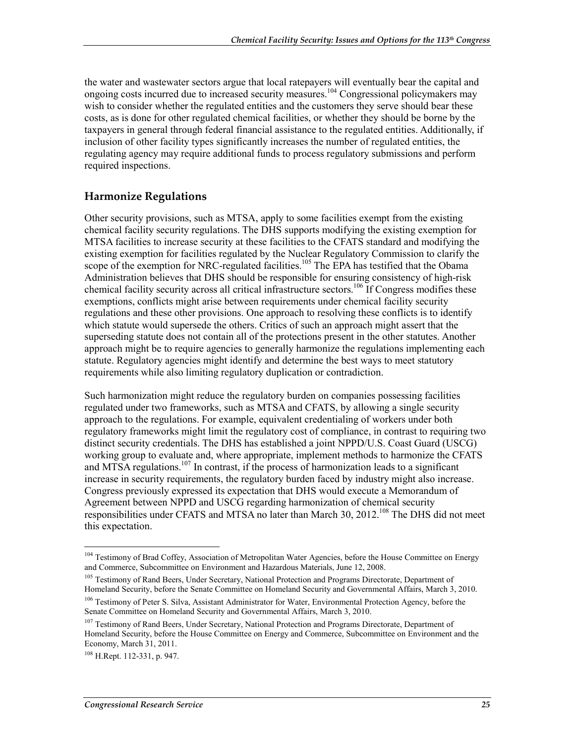the water and wastewater sectors argue that local ratepayers will eventually bear the capital and ongoing costs incurred due to increased security measures.104 Congressional policymakers may wish to consider whether the regulated entities and the customers they serve should bear these costs, as is done for other regulated chemical facilities, or whether they should be borne by the taxpayers in general through federal financial assistance to the regulated entities. Additionally, if inclusion of other facility types significantly increases the number of regulated entities, the regulating agency may require additional funds to process regulatory submissions and perform required inspections.

#### **Harmonize Regulations**

Other security provisions, such as MTSA, apply to some facilities exempt from the existing chemical facility security regulations. The DHS supports modifying the existing exemption for MTSA facilities to increase security at these facilities to the CFATS standard and modifying the existing exemption for facilities regulated by the Nuclear Regulatory Commission to clarify the scope of the exemption for NRC-regulated facilities.<sup>105</sup> The EPA has testified that the Obama Administration believes that DHS should be responsible for ensuring consistency of high-risk chemical facility security across all critical infrastructure sectors.<sup>106</sup> If Congress modifies these exemptions, conflicts might arise between requirements under chemical facility security regulations and these other provisions. One approach to resolving these conflicts is to identify which statute would supersede the others. Critics of such an approach might assert that the superseding statute does not contain all of the protections present in the other statutes. Another approach might be to require agencies to generally harmonize the regulations implementing each statute. Regulatory agencies might identify and determine the best ways to meet statutory requirements while also limiting regulatory duplication or contradiction.

Such harmonization might reduce the regulatory burden on companies possessing facilities regulated under two frameworks, such as MTSA and CFATS, by allowing a single security approach to the regulations. For example, equivalent credentialing of workers under both regulatory frameworks might limit the regulatory cost of compliance, in contrast to requiring two distinct security credentials. The DHS has established a joint NPPD/U.S. Coast Guard (USCG) working group to evaluate and, where appropriate, implement methods to harmonize the CFATS and MTSA regulations.<sup>107</sup> In contrast, if the process of harmonization leads to a significant increase in security requirements, the regulatory burden faced by industry might also increase. Congress previously expressed its expectation that DHS would execute a Memorandum of Agreement between NPPD and USCG regarding harmonization of chemical security responsibilities under CFATS and MTSA no later than March 30, 2012.<sup>108</sup> The DHS did not meet this expectation.

<sup>105</sup> Testimony of Rand Beers, Under Secretary, National Protection and Programs Directorate, Department of Homeland Security, before the Senate Committee on Homeland Security and Governmental Affairs, March 3, 2010.

<sup>&</sup>lt;sup>104</sup> Testimony of Brad Coffey, Association of Metropolitan Water Agencies, before the House Committee on Energy and Commerce, Subcommittee on Environment and Hazardous Materials, June 12, 2008.

<sup>&</sup>lt;sup>106</sup> Testimony of Peter S. Silva, Assistant Administrator for Water, Environmental Protection Agency, before the Senate Committee on Homeland Security and Governmental Affairs, March 3, 2010.

<sup>&</sup>lt;sup>107</sup> Testimony of Rand Beers, Under Secretary, National Protection and Programs Directorate, Department of Homeland Security, before the House Committee on Energy and Commerce, Subcommittee on Environment and the Economy, March 31, 2011.

<sup>108</sup> H.Rept. 112-331, p. 947.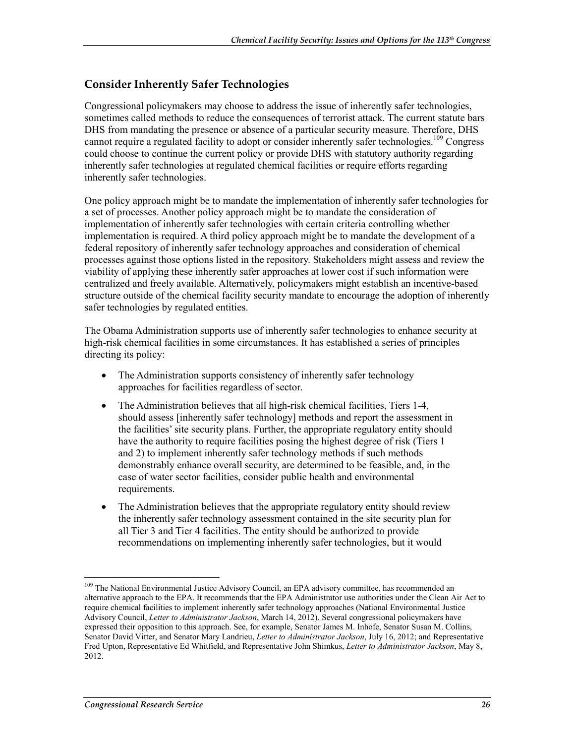#### **Consider Inherently Safer Technologies**

Congressional policymakers may choose to address the issue of inherently safer technologies, sometimes called methods to reduce the consequences of terrorist attack. The current statute bars DHS from mandating the presence or absence of a particular security measure. Therefore, DHS cannot require a regulated facility to adopt or consider inherently safer technologies.<sup>109</sup> Congress could choose to continue the current policy or provide DHS with statutory authority regarding inherently safer technologies at regulated chemical facilities or require efforts regarding inherently safer technologies.

One policy approach might be to mandate the implementation of inherently safer technologies for a set of processes. Another policy approach might be to mandate the consideration of implementation of inherently safer technologies with certain criteria controlling whether implementation is required. A third policy approach might be to mandate the development of a federal repository of inherently safer technology approaches and consideration of chemical processes against those options listed in the repository. Stakeholders might assess and review the viability of applying these inherently safer approaches at lower cost if such information were centralized and freely available. Alternatively, policymakers might establish an incentive-based structure outside of the chemical facility security mandate to encourage the adoption of inherently safer technologies by regulated entities.

The Obama Administration supports use of inherently safer technologies to enhance security at high-risk chemical facilities in some circumstances. It has established a series of principles directing its policy:

- The Administration supports consistency of inherently safer technology approaches for facilities regardless of sector.
- The Administration believes that all high-risk chemical facilities, Tiers 1-4, should assess [inherently safer technology] methods and report the assessment in the facilities' site security plans. Further, the appropriate regulatory entity should have the authority to require facilities posing the highest degree of risk (Tiers 1 and 2) to implement inherently safer technology methods if such methods demonstrably enhance overall security, are determined to be feasible, and, in the case of water sector facilities, consider public health and environmental requirements.
- The Administration believes that the appropriate regulatory entity should review the inherently safer technology assessment contained in the site security plan for all Tier 3 and Tier 4 facilities. The entity should be authorized to provide recommendations on implementing inherently safer technologies, but it would

<sup>&</sup>lt;sup>109</sup> The National Environmental Justice Advisory Council, an EPA advisory committee, has recommended an alternative approach to the EPA. It recommends that the EPA Administrator use authorities under the Clean Air Act to require chemical facilities to implement inherently safer technology approaches (National Environmental Justice Advisory Council, *Letter to Administrator Jackson*, March 14, 2012). Several congressional policymakers have expressed their opposition to this approach. See, for example, Senator James M. Inhofe, Senator Susan M. Collins, Senator David Vitter, and Senator Mary Landrieu, *Letter to Administrator Jackson*, July 16, 2012; and Representative Fred Upton, Representative Ed Whitfield, and Representative John Shimkus, *Letter to Administrator Jackson*, May 8, 2012.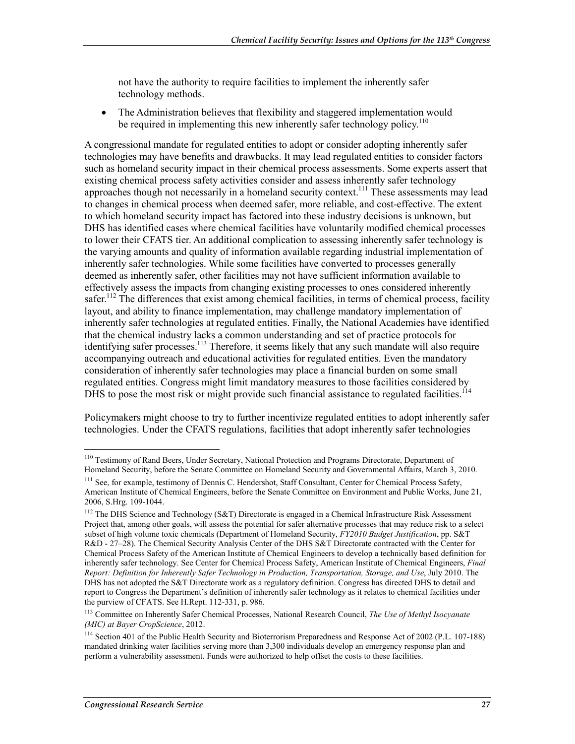not have the authority to require facilities to implement the inherently safer technology methods.

• The Administration believes that flexibility and staggered implementation would be required in implementing this new inherently safer technology policy.<sup>110</sup>

A congressional mandate for regulated entities to adopt or consider adopting inherently safer technologies may have benefits and drawbacks. It may lead regulated entities to consider factors such as homeland security impact in their chemical process assessments. Some experts assert that existing chemical process safety activities consider and assess inherently safer technology approaches though not necessarily in a homeland security context.<sup>111</sup> These assessments may lead to changes in chemical process when deemed safer, more reliable, and cost-effective. The extent to which homeland security impact has factored into these industry decisions is unknown, but DHS has identified cases where chemical facilities have voluntarily modified chemical processes to lower their CFATS tier. An additional complication to assessing inherently safer technology is the varying amounts and quality of information available regarding industrial implementation of inherently safer technologies. While some facilities have converted to processes generally deemed as inherently safer, other facilities may not have sufficient information available to effectively assess the impacts from changing existing processes to ones considered inherently safer.<sup>112</sup> The differences that exist among chemical facilities, in terms of chemical process, facility layout, and ability to finance implementation, may challenge mandatory implementation of inherently safer technologies at regulated entities. Finally, the National Academies have identified that the chemical industry lacks a common understanding and set of practice protocols for identifying safer processes.<sup>113</sup> Therefore, it seems likely that any such mandate will also require accompanying outreach and educational activities for regulated entities. Even the mandatory consideration of inherently safer technologies may place a financial burden on some small regulated entities. Congress might limit mandatory measures to those facilities considered by DHS to pose the most risk or might provide such financial assistance to regulated facilities.<sup>114</sup>

Policymakers might choose to try to further incentivize regulated entities to adopt inherently safer technologies. Under the CFATS regulations, facilities that adopt inherently safer technologies

<sup>110</sup> Testimony of Rand Beers, Under Secretary, National Protection and Programs Directorate, Department of Homeland Security, before the Senate Committee on Homeland Security and Governmental Affairs, March 3, 2010.

<sup>&</sup>lt;sup>111</sup> See, for example, testimony of Dennis C. Hendershot, Staff Consultant, Center for Chemical Process Safety, American Institute of Chemical Engineers, before the Senate Committee on Environment and Public Works, June 21, 2006, S.Hrg. 109-1044.

<sup>&</sup>lt;sup>112</sup> The DHS Science and Technology (S&T) Directorate is engaged in a Chemical Infrastructure Risk Assessment Project that, among other goals, will assess the potential for safer alternative processes that may reduce risk to a select subset of high volume toxic chemicals (Department of Homeland Security, *FY2010 Budget Justification*, pp. S&T R&D - 27–28). The Chemical Security Analysis Center of the DHS S&T Directorate contracted with the Center for Chemical Process Safety of the American Institute of Chemical Engineers to develop a technically based definition for inherently safer technology. See Center for Chemical Process Safety, American Institute of Chemical Engineers, *Final Report: Definition for Inherently Safer Technology in Production, Transportation, Storage, and Use*, July 2010. The DHS has not adopted the S&T Directorate work as a regulatory definition. Congress has directed DHS to detail and report to Congress the Department's definition of inherently safer technology as it relates to chemical facilities under the purview of CFATS. See H.Rept. 112-331, p. 986.

<sup>113</sup> Committee on Inherently Safer Chemical Processes, National Research Council, *The Use of Methyl Isocyanate (MIC) at Bayer CropScience*, 2012.

<sup>114</sup> Section 401 of the Public Health Security and Bioterrorism Preparedness and Response Act of 2002 (P.L. 107-188) mandated drinking water facilities serving more than 3,300 individuals develop an emergency response plan and perform a vulnerability assessment. Funds were authorized to help offset the costs to these facilities.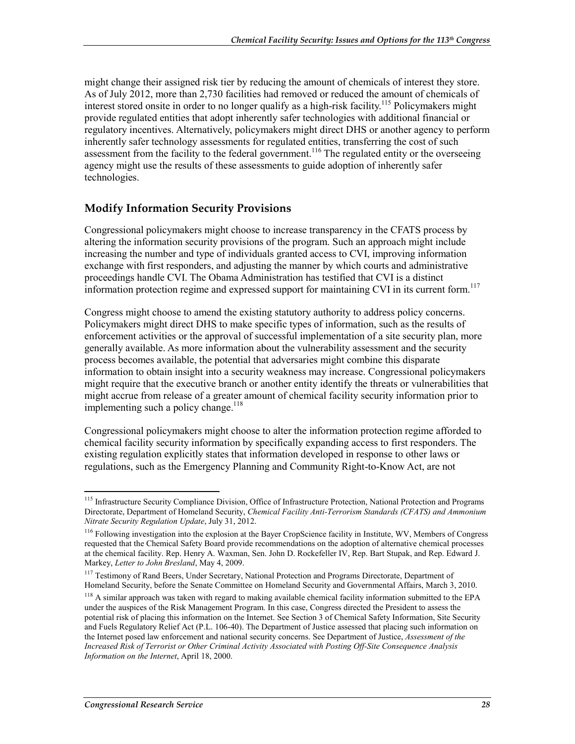might change their assigned risk tier by reducing the amount of chemicals of interest they store. As of July 2012, more than 2,730 facilities had removed or reduced the amount of chemicals of interest stored onsite in order to no longer qualify as a high-risk facility.<sup>115</sup> Policymakers might provide regulated entities that adopt inherently safer technologies with additional financial or regulatory incentives. Alternatively, policymakers might direct DHS or another agency to perform inherently safer technology assessments for regulated entities, transferring the cost of such assessment from the facility to the federal government.<sup>116</sup> The regulated entity or the overseeing agency might use the results of these assessments to guide adoption of inherently safer technologies.

#### **Modify Information Security Provisions**

Congressional policymakers might choose to increase transparency in the CFATS process by altering the information security provisions of the program. Such an approach might include increasing the number and type of individuals granted access to CVI, improving information exchange with first responders, and adjusting the manner by which courts and administrative proceedings handle CVI. The Obama Administration has testified that CVI is a distinct information protection regime and expressed support for maintaining CVI in its current form.<sup>117</sup>

Congress might choose to amend the existing statutory authority to address policy concerns. Policymakers might direct DHS to make specific types of information, such as the results of enforcement activities or the approval of successful implementation of a site security plan, more generally available. As more information about the vulnerability assessment and the security process becomes available, the potential that adversaries might combine this disparate information to obtain insight into a security weakness may increase. Congressional policymakers might require that the executive branch or another entity identify the threats or vulnerabilities that might accrue from release of a greater amount of chemical facility security information prior to implementing such a policy change.<sup>118</sup>

Congressional policymakers might choose to alter the information protection regime afforded to chemical facility security information by specifically expanding access to first responders. The existing regulation explicitly states that information developed in response to other laws or regulations, such as the Emergency Planning and Community Right-to-Know Act, are not

<sup>&</sup>lt;sup>115</sup> Infrastructure Security Compliance Division, Office of Infrastructure Protection, National Protection and Programs Directorate, Department of Homeland Security, *Chemical Facility Anti-Terrorism Standards (CFATS) and Ammonium Nitrate Security Regulation Update*, July 31, 2012.

<sup>&</sup>lt;sup>116</sup> Following investigation into the explosion at the Bayer CropScience facility in Institute, WV, Members of Congress requested that the Chemical Safety Board provide recommendations on the adoption of alternative chemical processes at the chemical facility. Rep. Henry A. Waxman, Sen. John D. Rockefeller IV, Rep. Bart Stupak, and Rep. Edward J. Markey, *Letter to John Bresland*, May 4, 2009.

<sup>&</sup>lt;sup>117</sup> Testimony of Rand Beers, Under Secretary, National Protection and Programs Directorate, Department of Homeland Security, before the Senate Committee on Homeland Security and Governmental Affairs, March 3, 2010.

<sup>&</sup>lt;sup>118</sup> A similar approach was taken with regard to making available chemical facility information submitted to the EPA under the auspices of the Risk Management Program. In this case, Congress directed the President to assess the potential risk of placing this information on the Internet. See Section 3 of Chemical Safety Information, Site Security and Fuels Regulatory Relief Act (P.L. 106-40). The Department of Justice assessed that placing such information on the Internet posed law enforcement and national security concerns. See Department of Justice, *Assessment of the Increased Risk of Terrorist or Other Criminal Activity Associated with Posting Off-Site Consequence Analysis Information on the Internet*, April 18, 2000.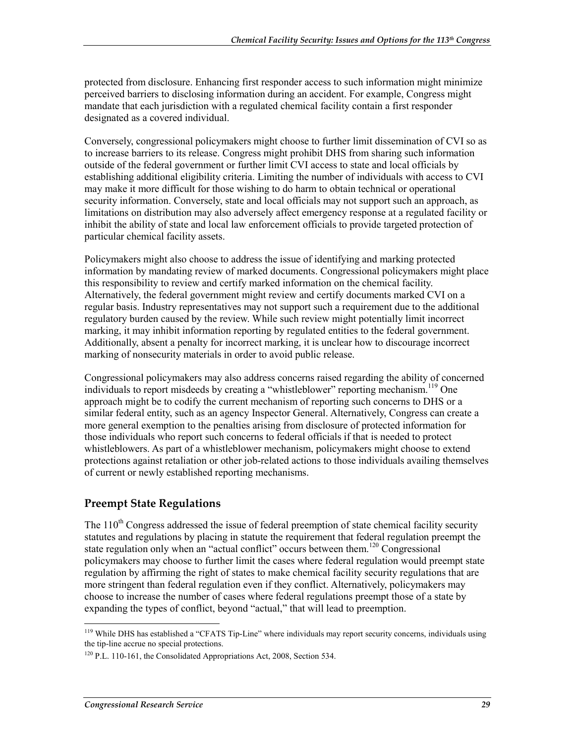protected from disclosure. Enhancing first responder access to such information might minimize perceived barriers to disclosing information during an accident. For example, Congress might mandate that each jurisdiction with a regulated chemical facility contain a first responder designated as a covered individual.

Conversely, congressional policymakers might choose to further limit dissemination of CVI so as to increase barriers to its release. Congress might prohibit DHS from sharing such information outside of the federal government or further limit CVI access to state and local officials by establishing additional eligibility criteria. Limiting the number of individuals with access to CVI may make it more difficult for those wishing to do harm to obtain technical or operational security information. Conversely, state and local officials may not support such an approach, as limitations on distribution may also adversely affect emergency response at a regulated facility or inhibit the ability of state and local law enforcement officials to provide targeted protection of particular chemical facility assets.

Policymakers might also choose to address the issue of identifying and marking protected information by mandating review of marked documents. Congressional policymakers might place this responsibility to review and certify marked information on the chemical facility. Alternatively, the federal government might review and certify documents marked CVI on a regular basis. Industry representatives may not support such a requirement due to the additional regulatory burden caused by the review. While such review might potentially limit incorrect marking, it may inhibit information reporting by regulated entities to the federal government. Additionally, absent a penalty for incorrect marking, it is unclear how to discourage incorrect marking of nonsecurity materials in order to avoid public release.

Congressional policymakers may also address concerns raised regarding the ability of concerned individuals to report misdeeds by creating a "whistleblower" reporting mechanism.<sup>119</sup> One approach might be to codify the current mechanism of reporting such concerns to DHS or a similar federal entity, such as an agency Inspector General. Alternatively, Congress can create a more general exemption to the penalties arising from disclosure of protected information for those individuals who report such concerns to federal officials if that is needed to protect whistleblowers. As part of a whistleblower mechanism, policymakers might choose to extend protections against retaliation or other job-related actions to those individuals availing themselves of current or newly established reporting mechanisms.

#### **Preempt State Regulations**

The  $110<sup>th</sup>$  Congress addressed the issue of federal preemption of state chemical facility security statutes and regulations by placing in statute the requirement that federal regulation preempt the state regulation only when an "actual conflict" occurs between them.<sup>120</sup> Congressional policymakers may choose to further limit the cases where federal regulation would preempt state regulation by affirming the right of states to make chemical facility security regulations that are more stringent than federal regulation even if they conflict. Alternatively, policymakers may choose to increase the number of cases where federal regulations preempt those of a state by expanding the types of conflict, beyond "actual," that will lead to preemption.

<sup>&</sup>lt;sup>119</sup> While DHS has established a "CFATS Tip-Line" where individuals may report security concerns, individuals using the tip-line accrue no special protections.

 $120$  P.L. 110-161, the Consolidated Appropriations Act, 2008, Section 534.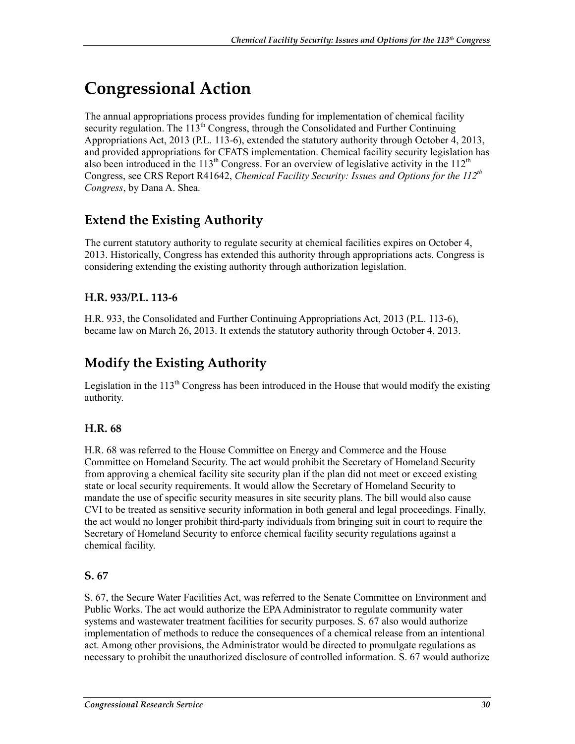# **Congressional Action**

The annual appropriations process provides funding for implementation of chemical facility security regulation. The  $113<sup>th</sup>$  Congress, through the Consolidated and Further Continuing Appropriations Act, 2013 (P.L. 113-6), extended the statutory authority through October 4, 2013, and provided appropriations for CFATS implementation. Chemical facility security legislation has also been introduced in the  $113<sup>th</sup>$  Congress. For an overview of legislative activity in the  $112<sup>th</sup>$ Congress, see CRS Report R41642, *Chemical Facility Security: Issues and Options for the 112<sup>th</sup> Congress*, by Dana A. Shea.

## **Extend the Existing Authority**

The current statutory authority to regulate security at chemical facilities expires on October 4, 2013. Historically, Congress has extended this authority through appropriations acts. Congress is considering extending the existing authority through authorization legislation.

#### **H.R. 933/P.L. 113-6**

H.R. 933, the Consolidated and Further Continuing Appropriations Act, 2013 (P.L. 113-6), became law on March 26, 2013. It extends the statutory authority through October 4, 2013.

## **Modify the Existing Authority**

Legislation in the  $113<sup>th</sup>$  Congress has been introduced in the House that would modify the existing authority.

#### **H.R. 68**

H.R. 68 was referred to the House Committee on Energy and Commerce and the House Committee on Homeland Security. The act would prohibit the Secretary of Homeland Security from approving a chemical facility site security plan if the plan did not meet or exceed existing state or local security requirements. It would allow the Secretary of Homeland Security to mandate the use of specific security measures in site security plans. The bill would also cause CVI to be treated as sensitive security information in both general and legal proceedings. Finally, the act would no longer prohibit third-party individuals from bringing suit in court to require the Secretary of Homeland Security to enforce chemical facility security regulations against a chemical facility.

#### **S. 67**

S. 67, the Secure Water Facilities Act, was referred to the Senate Committee on Environment and Public Works. The act would authorize the EPA Administrator to regulate community water systems and wastewater treatment facilities for security purposes. S. 67 also would authorize implementation of methods to reduce the consequences of a chemical release from an intentional act. Among other provisions, the Administrator would be directed to promulgate regulations as necessary to prohibit the unauthorized disclosure of controlled information. S. 67 would authorize